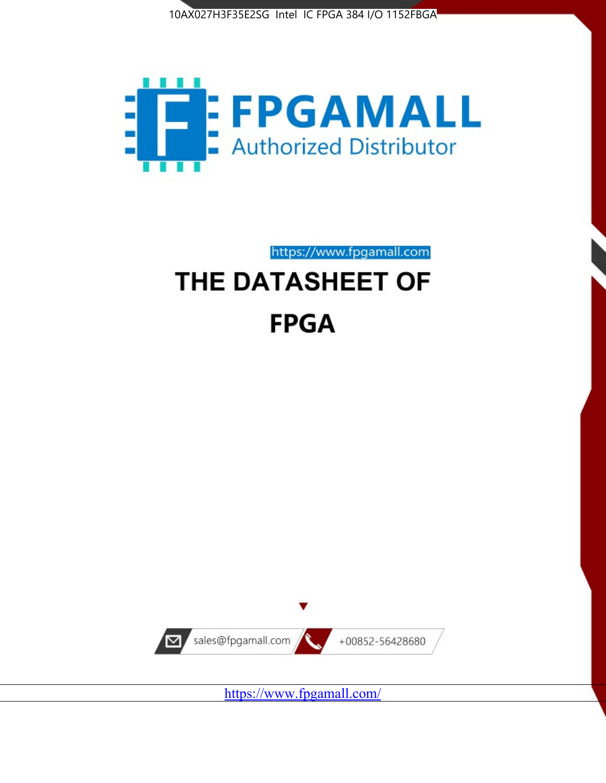



https://www.fpgamall.com THE DATASHEET OF

# **FPGA**



<https://www.fpgamall.com/>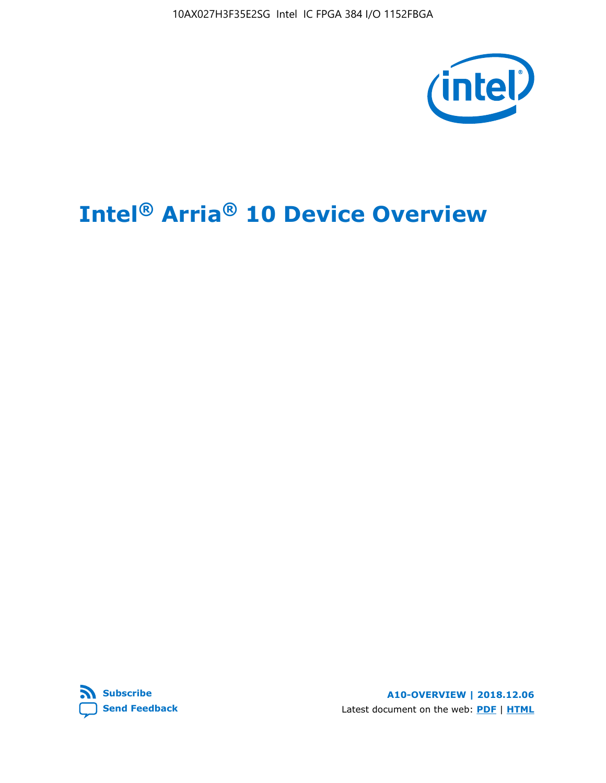10AX027H3F35E2SG Intel IC FPGA 384 I/O 1152FBGA



# **Intel® Arria® 10 Device Overview**



**A10-OVERVIEW | 2018.12.06** Latest document on the web: **[PDF](https://www.intel.com/content/dam/www/programmable/us/en/pdfs/literature/hb/arria-10/a10_overview.pdf)** | **[HTML](https://www.intel.com/content/www/us/en/programmable/documentation/sam1403480274650.html)**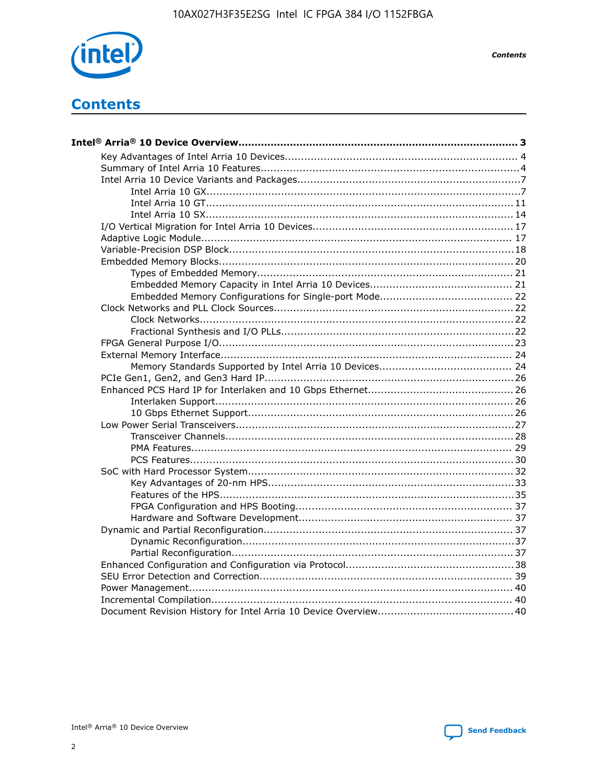

**Contents** 

# **Contents**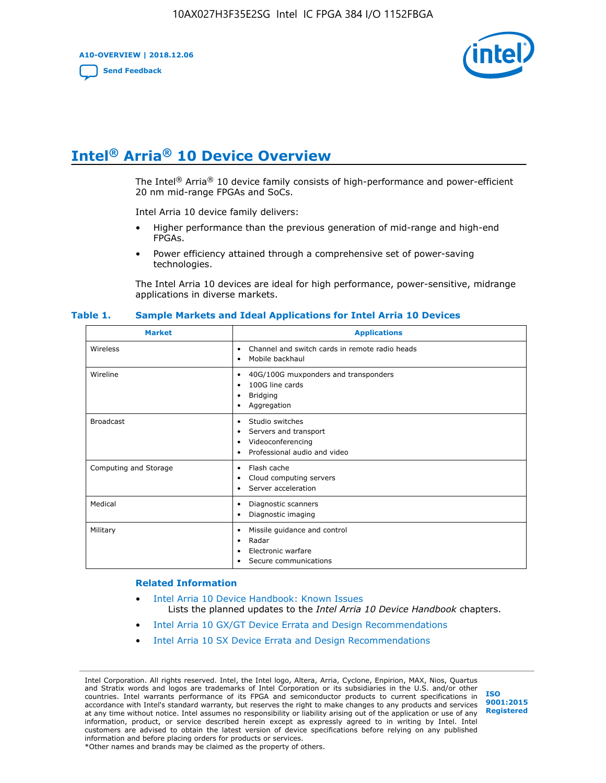**A10-OVERVIEW | 2018.12.06**

**[Send Feedback](mailto:FPGAtechdocfeedback@intel.com?subject=Feedback%20on%20Intel%20Arria%2010%20Device%20Overview%20(A10-OVERVIEW%202018.12.06)&body=We%20appreciate%20your%20feedback.%20In%20your%20comments,%20also%20specify%20the%20page%20number%20or%20paragraph.%20Thank%20you.)**



# **Intel® Arria® 10 Device Overview**

The Intel<sup>®</sup> Arria<sup>®</sup> 10 device family consists of high-performance and power-efficient 20 nm mid-range FPGAs and SoCs.

Intel Arria 10 device family delivers:

- Higher performance than the previous generation of mid-range and high-end FPGAs.
- Power efficiency attained through a comprehensive set of power-saving technologies.

The Intel Arria 10 devices are ideal for high performance, power-sensitive, midrange applications in diverse markets.

| <b>Market</b>         | <b>Applications</b>                                                                                               |
|-----------------------|-------------------------------------------------------------------------------------------------------------------|
| Wireless              | Channel and switch cards in remote radio heads<br>٠<br>Mobile backhaul<br>٠                                       |
| Wireline              | 40G/100G muxponders and transponders<br>٠<br>100G line cards<br>٠<br><b>Bridging</b><br>٠<br>Aggregation<br>٠     |
| <b>Broadcast</b>      | Studio switches<br>٠<br>Servers and transport<br>٠<br>Videoconferencing<br>٠<br>Professional audio and video<br>٠ |
| Computing and Storage | Flash cache<br>٠<br>Cloud computing servers<br>٠<br>Server acceleration<br>٠                                      |
| Medical               | Diagnostic scanners<br>٠<br>Diagnostic imaging<br>٠                                                               |
| Military              | Missile guidance and control<br>٠<br>Radar<br>٠<br>Electronic warfare<br>٠<br>Secure communications<br>٠          |

#### **Table 1. Sample Markets and Ideal Applications for Intel Arria 10 Devices**

#### **Related Information**

- [Intel Arria 10 Device Handbook: Known Issues](http://www.altera.com/support/kdb/solutions/rd07302013_646.html) Lists the planned updates to the *Intel Arria 10 Device Handbook* chapters.
- [Intel Arria 10 GX/GT Device Errata and Design Recommendations](https://www.intel.com/content/www/us/en/programmable/documentation/agz1493851706374.html#yqz1494433888646)
- [Intel Arria 10 SX Device Errata and Design Recommendations](https://www.intel.com/content/www/us/en/programmable/documentation/cru1462832385668.html#cru1462832558642)

Intel Corporation. All rights reserved. Intel, the Intel logo, Altera, Arria, Cyclone, Enpirion, MAX, Nios, Quartus and Stratix words and logos are trademarks of Intel Corporation or its subsidiaries in the U.S. and/or other countries. Intel warrants performance of its FPGA and semiconductor products to current specifications in accordance with Intel's standard warranty, but reserves the right to make changes to any products and services at any time without notice. Intel assumes no responsibility or liability arising out of the application or use of any information, product, or service described herein except as expressly agreed to in writing by Intel. Intel customers are advised to obtain the latest version of device specifications before relying on any published information and before placing orders for products or services. \*Other names and brands may be claimed as the property of others.

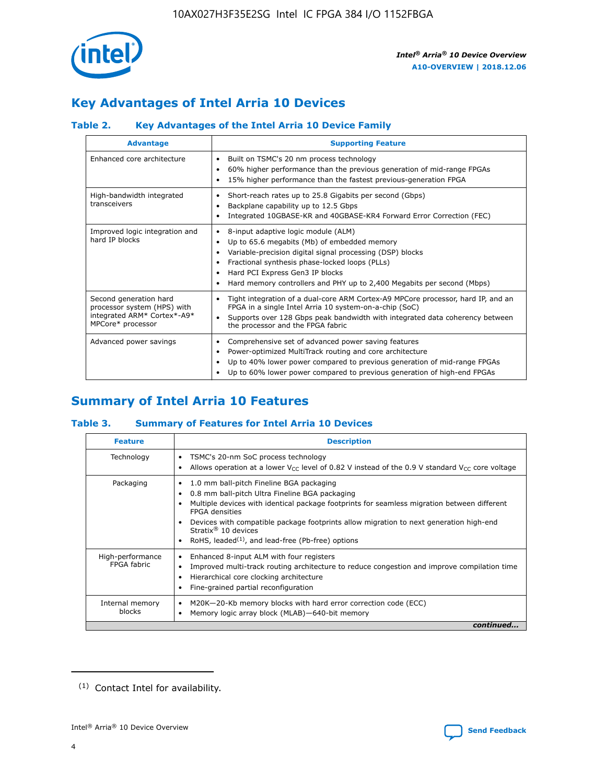

# **Key Advantages of Intel Arria 10 Devices**

## **Table 2. Key Advantages of the Intel Arria 10 Device Family**

| <b>Advantage</b>                                                                                          | <b>Supporting Feature</b>                                                                                                                                                                                                                                                                                                |
|-----------------------------------------------------------------------------------------------------------|--------------------------------------------------------------------------------------------------------------------------------------------------------------------------------------------------------------------------------------------------------------------------------------------------------------------------|
| Enhanced core architecture                                                                                | Built on TSMC's 20 nm process technology<br>٠<br>60% higher performance than the previous generation of mid-range FPGAs<br>٠<br>15% higher performance than the fastest previous-generation FPGA<br>٠                                                                                                                    |
| High-bandwidth integrated<br>transceivers                                                                 | Short-reach rates up to 25.8 Gigabits per second (Gbps)<br>٠<br>Backplane capability up to 12.5 Gbps<br>٠<br>Integrated 10GBASE-KR and 40GBASE-KR4 Forward Error Correction (FEC)<br>٠                                                                                                                                   |
| Improved logic integration and<br>hard IP blocks                                                          | 8-input adaptive logic module (ALM)<br>٠<br>Up to 65.6 megabits (Mb) of embedded memory<br>٠<br>Variable-precision digital signal processing (DSP) blocks<br>Fractional synthesis phase-locked loops (PLLs)<br>Hard PCI Express Gen3 IP blocks<br>Hard memory controllers and PHY up to 2,400 Megabits per second (Mbps) |
| Second generation hard<br>processor system (HPS) with<br>integrated ARM* Cortex*-A9*<br>MPCore* processor | Tight integration of a dual-core ARM Cortex-A9 MPCore processor, hard IP, and an<br>٠<br>FPGA in a single Intel Arria 10 system-on-a-chip (SoC)<br>Supports over 128 Gbps peak bandwidth with integrated data coherency between<br>$\bullet$<br>the processor and the FPGA fabric                                        |
| Advanced power savings                                                                                    | Comprehensive set of advanced power saving features<br>٠<br>Power-optimized MultiTrack routing and core architecture<br>٠<br>Up to 40% lower power compared to previous generation of mid-range FPGAs<br>Up to 60% lower power compared to previous generation of high-end FPGAs                                         |

# **Summary of Intel Arria 10 Features**

## **Table 3. Summary of Features for Intel Arria 10 Devices**

| <b>Feature</b>                  | <b>Description</b>                                                                                                                                                                                                                                                                                                                                                                                       |
|---------------------------------|----------------------------------------------------------------------------------------------------------------------------------------------------------------------------------------------------------------------------------------------------------------------------------------------------------------------------------------------------------------------------------------------------------|
| Technology                      | TSMC's 20-nm SoC process technology<br>٠<br>Allows operation at a lower $V_{\text{CC}}$ level of 0.82 V instead of the 0.9 V standard $V_{\text{CC}}$ core voltage                                                                                                                                                                                                                                       |
| Packaging                       | 1.0 mm ball-pitch Fineline BGA packaging<br>0.8 mm ball-pitch Ultra Fineline BGA packaging<br>Multiple devices with identical package footprints for seamless migration between different<br><b>FPGA</b> densities<br>Devices with compatible package footprints allow migration to next generation high-end<br>Stratix $\mathcal{R}$ 10 devices<br>RoHS, leaded $(1)$ , and lead-free (Pb-free) options |
| High-performance<br>FPGA fabric | Enhanced 8-input ALM with four registers<br>٠<br>Improved multi-track routing architecture to reduce congestion and improve compilation time<br>Hierarchical core clocking architecture<br>Fine-grained partial reconfiguration                                                                                                                                                                          |
| Internal memory<br>blocks       | M20K-20-Kb memory blocks with hard error correction code (ECC)<br>Memory logic array block (MLAB)-640-bit memory                                                                                                                                                                                                                                                                                         |
|                                 | continued                                                                                                                                                                                                                                                                                                                                                                                                |



<sup>(1)</sup> Contact Intel for availability.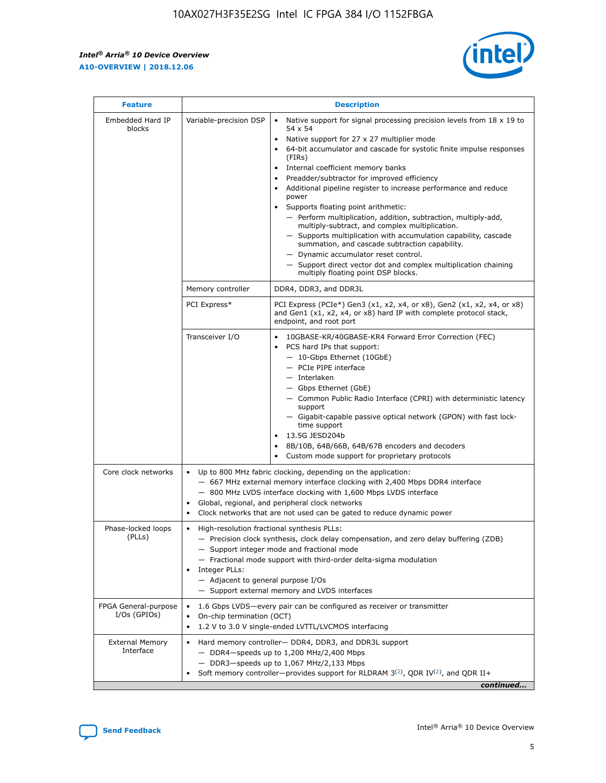r



| <b>Feature</b>                         | <b>Description</b>                                                                                             |                                                                                                                                                                                                                                                                                                                                                                                                                                                                                                                                                                                                                                                                                                                                                                                                                                        |  |  |  |  |  |
|----------------------------------------|----------------------------------------------------------------------------------------------------------------|----------------------------------------------------------------------------------------------------------------------------------------------------------------------------------------------------------------------------------------------------------------------------------------------------------------------------------------------------------------------------------------------------------------------------------------------------------------------------------------------------------------------------------------------------------------------------------------------------------------------------------------------------------------------------------------------------------------------------------------------------------------------------------------------------------------------------------------|--|--|--|--|--|
| Embedded Hard IP<br>blocks             | Variable-precision DSP                                                                                         | Native support for signal processing precision levels from $18 \times 19$ to<br>54 x 54<br>Native support for 27 x 27 multiplier mode<br>64-bit accumulator and cascade for systolic finite impulse responses<br>(FIRs)<br>Internal coefficient memory banks<br>$\bullet$<br>Preadder/subtractor for improved efficiency<br>Additional pipeline register to increase performance and reduce<br>power<br>Supports floating point arithmetic:<br>- Perform multiplication, addition, subtraction, multiply-add,<br>multiply-subtract, and complex multiplication.<br>- Supports multiplication with accumulation capability, cascade<br>summation, and cascade subtraction capability.<br>- Dynamic accumulator reset control.<br>- Support direct vector dot and complex multiplication chaining<br>multiply floating point DSP blocks. |  |  |  |  |  |
|                                        | Memory controller                                                                                              | DDR4, DDR3, and DDR3L                                                                                                                                                                                                                                                                                                                                                                                                                                                                                                                                                                                                                                                                                                                                                                                                                  |  |  |  |  |  |
|                                        | PCI Express*                                                                                                   | PCI Express (PCIe*) Gen3 (x1, x2, x4, or x8), Gen2 (x1, x2, x4, or x8)<br>and Gen1 (x1, x2, x4, or x8) hard IP with complete protocol stack,<br>endpoint, and root port                                                                                                                                                                                                                                                                                                                                                                                                                                                                                                                                                                                                                                                                |  |  |  |  |  |
|                                        | Transceiver I/O                                                                                                | 10GBASE-KR/40GBASE-KR4 Forward Error Correction (FEC)<br>PCS hard IPs that support:<br>$\bullet$<br>- 10-Gbps Ethernet (10GbE)<br>- PCIe PIPE interface<br>$-$ Interlaken<br>- Gbps Ethernet (GbE)<br>- Common Public Radio Interface (CPRI) with deterministic latency<br>support<br>- Gigabit-capable passive optical network (GPON) with fast lock-<br>time support<br>13.5G JESD204b<br>$\bullet$<br>8B/10B, 64B/66B, 64B/67B encoders and decoders<br>Custom mode support for proprietary protocols                                                                                                                                                                                                                                                                                                                               |  |  |  |  |  |
| Core clock networks                    | $\bullet$<br>$\bullet$                                                                                         | Up to 800 MHz fabric clocking, depending on the application:<br>- 667 MHz external memory interface clocking with 2,400 Mbps DDR4 interface<br>- 800 MHz LVDS interface clocking with 1,600 Mbps LVDS interface<br>Global, regional, and peripheral clock networks<br>Clock networks that are not used can be gated to reduce dynamic power                                                                                                                                                                                                                                                                                                                                                                                                                                                                                            |  |  |  |  |  |
| Phase-locked loops<br>(PLLs)           | High-resolution fractional synthesis PLLs:<br>$\bullet$<br>Integer PLLs:<br>- Adjacent to general purpose I/Os | - Precision clock synthesis, clock delay compensation, and zero delay buffering (ZDB)<br>- Support integer mode and fractional mode<br>- Fractional mode support with third-order delta-sigma modulation<br>- Support external memory and LVDS interfaces                                                                                                                                                                                                                                                                                                                                                                                                                                                                                                                                                                              |  |  |  |  |  |
| FPGA General-purpose<br>$I/Os$ (GPIOs) | On-chip termination (OCT)                                                                                      | 1.6 Gbps LVDS-every pair can be configured as receiver or transmitter<br>1.2 V to 3.0 V single-ended LVTTL/LVCMOS interfacing                                                                                                                                                                                                                                                                                                                                                                                                                                                                                                                                                                                                                                                                                                          |  |  |  |  |  |
| <b>External Memory</b><br>Interface    |                                                                                                                | Hard memory controller- DDR4, DDR3, and DDR3L support<br>$-$ DDR4 $-$ speeds up to 1,200 MHz/2,400 Mbps<br>- DDR3-speeds up to 1,067 MHz/2,133 Mbps<br>Soft memory controller—provides support for RLDRAM $3^{(2)}$ , QDR IV $^{(2)}$ , and QDR II+<br>continued                                                                                                                                                                                                                                                                                                                                                                                                                                                                                                                                                                       |  |  |  |  |  |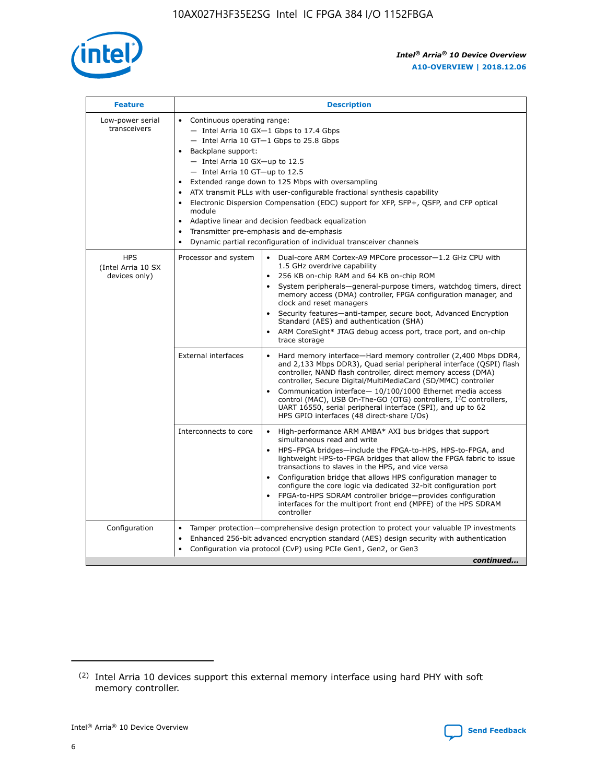

| <b>Feature</b>                                    | <b>Description</b>                                                                                                                                                                                                                                                                                                                                                                                                                                                                                                                                                                                                                         |  |  |  |  |  |  |  |
|---------------------------------------------------|--------------------------------------------------------------------------------------------------------------------------------------------------------------------------------------------------------------------------------------------------------------------------------------------------------------------------------------------------------------------------------------------------------------------------------------------------------------------------------------------------------------------------------------------------------------------------------------------------------------------------------------------|--|--|--|--|--|--|--|
| Low-power serial<br>transceivers                  | • Continuous operating range:<br>- Intel Arria 10 GX-1 Gbps to 17.4 Gbps<br>- Intel Arria 10 GT-1 Gbps to 25.8 Gbps<br>Backplane support:<br>$-$ Intel Arria 10 GX-up to 12.5<br>- Intel Arria 10 GT-up to 12.5<br>Extended range down to 125 Mbps with oversampling<br>ATX transmit PLLs with user-configurable fractional synthesis capability<br>Electronic Dispersion Compensation (EDC) support for XFP, SFP+, QSFP, and CFP optical<br>module<br>• Adaptive linear and decision feedback equalization<br>Transmitter pre-emphasis and de-emphasis<br>$\bullet$<br>Dynamic partial reconfiguration of individual transceiver channels |  |  |  |  |  |  |  |
| <b>HPS</b><br>(Intel Arria 10 SX<br>devices only) | Dual-core ARM Cortex-A9 MPCore processor-1.2 GHz CPU with<br>Processor and system<br>$\bullet$<br>1.5 GHz overdrive capability<br>256 KB on-chip RAM and 64 KB on-chip ROM<br>System peripherals-general-purpose timers, watchdog timers, direct<br>memory access (DMA) controller, FPGA configuration manager, and<br>clock and reset managers<br>Security features-anti-tamper, secure boot, Advanced Encryption<br>$\bullet$<br>Standard (AES) and authentication (SHA)<br>ARM CoreSight* JTAG debug access port, trace port, and on-chip<br>trace storage                                                                              |  |  |  |  |  |  |  |
|                                                   | <b>External interfaces</b><br>Hard memory interface-Hard memory controller (2,400 Mbps DDR4,<br>$\bullet$<br>and 2,133 Mbps DDR3), Quad serial peripheral interface (QSPI) flash<br>controller, NAND flash controller, direct memory access (DMA)<br>controller, Secure Digital/MultiMediaCard (SD/MMC) controller<br>Communication interface-10/100/1000 Ethernet media access<br>$\bullet$<br>control (MAC), USB On-The-GO (OTG) controllers, I <sup>2</sup> C controllers,<br>UART 16550, serial peripheral interface (SPI), and up to 62<br>HPS GPIO interfaces (48 direct-share I/Os)                                                 |  |  |  |  |  |  |  |
|                                                   | High-performance ARM AMBA* AXI bus bridges that support<br>Interconnects to core<br>$\bullet$<br>simultaneous read and write<br>HPS-FPGA bridges-include the FPGA-to-HPS, HPS-to-FPGA, and<br>$\bullet$<br>lightweight HPS-to-FPGA bridges that allow the FPGA fabric to issue<br>transactions to slaves in the HPS, and vice versa<br>Configuration bridge that allows HPS configuration manager to<br>configure the core logic via dedicated 32-bit configuration port<br>FPGA-to-HPS SDRAM controller bridge-provides configuration<br>interfaces for the multiport front end (MPFE) of the HPS SDRAM<br>controller                     |  |  |  |  |  |  |  |
| Configuration                                     | Tamper protection—comprehensive design protection to protect your valuable IP investments<br>Enhanced 256-bit advanced encryption standard (AES) design security with authentication<br>٠<br>Configuration via protocol (CvP) using PCIe Gen1, Gen2, or Gen3<br>continued                                                                                                                                                                                                                                                                                                                                                                  |  |  |  |  |  |  |  |

<sup>(2)</sup> Intel Arria 10 devices support this external memory interface using hard PHY with soft memory controller.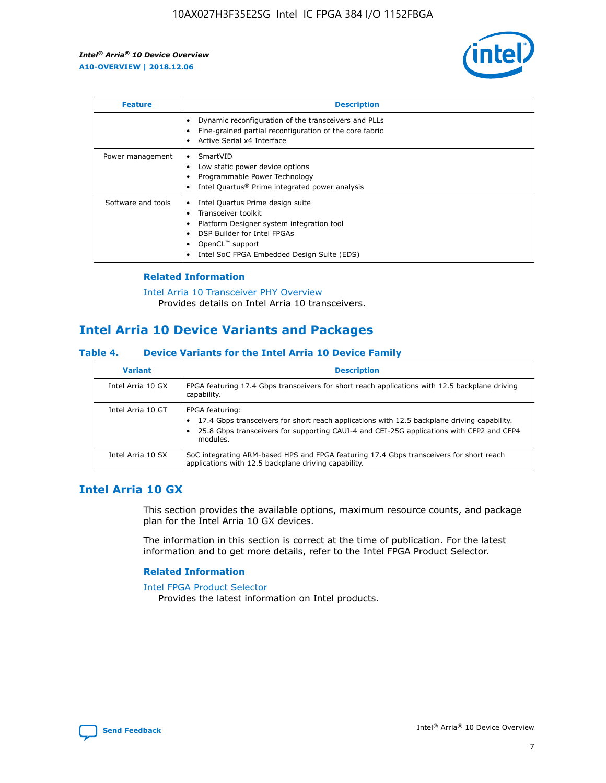

| <b>Feature</b>     | <b>Description</b>                                                                                                                                                                                               |
|--------------------|------------------------------------------------------------------------------------------------------------------------------------------------------------------------------------------------------------------|
|                    | Dynamic reconfiguration of the transceivers and PLLs<br>Fine-grained partial reconfiguration of the core fabric<br>Active Serial x4 Interface<br>$\bullet$                                                       |
| Power management   | SmartVID<br>Low static power device options<br>Programmable Power Technology<br>Intel Quartus <sup>®</sup> Prime integrated power analysis                                                                       |
| Software and tools | Intel Quartus Prime design suite<br>Transceiver toolkit<br>Platform Designer system integration tool<br>DSP Builder for Intel FPGAs<br>OpenCL <sup>™</sup> support<br>Intel SoC FPGA Embedded Design Suite (EDS) |

## **Related Information**

[Intel Arria 10 Transceiver PHY Overview](https://www.intel.com/content/www/us/en/programmable/documentation/nik1398707230472.html#nik1398706768037) Provides details on Intel Arria 10 transceivers.

## **Intel Arria 10 Device Variants and Packages**

#### **Table 4. Device Variants for the Intel Arria 10 Device Family**

| <b>Variant</b>    | <b>Description</b>                                                                                                                                                                                                     |
|-------------------|------------------------------------------------------------------------------------------------------------------------------------------------------------------------------------------------------------------------|
| Intel Arria 10 GX | FPGA featuring 17.4 Gbps transceivers for short reach applications with 12.5 backplane driving<br>capability.                                                                                                          |
| Intel Arria 10 GT | FPGA featuring:<br>17.4 Gbps transceivers for short reach applications with 12.5 backplane driving capability.<br>25.8 Gbps transceivers for supporting CAUI-4 and CEI-25G applications with CFP2 and CFP4<br>modules. |
| Intel Arria 10 SX | SoC integrating ARM-based HPS and FPGA featuring 17.4 Gbps transceivers for short reach<br>applications with 12.5 backplane driving capability.                                                                        |

## **Intel Arria 10 GX**

This section provides the available options, maximum resource counts, and package plan for the Intel Arria 10 GX devices.

The information in this section is correct at the time of publication. For the latest information and to get more details, refer to the Intel FPGA Product Selector.

#### **Related Information**

#### [Intel FPGA Product Selector](http://www.altera.com/products/selector/psg-selector.html) Provides the latest information on Intel products.

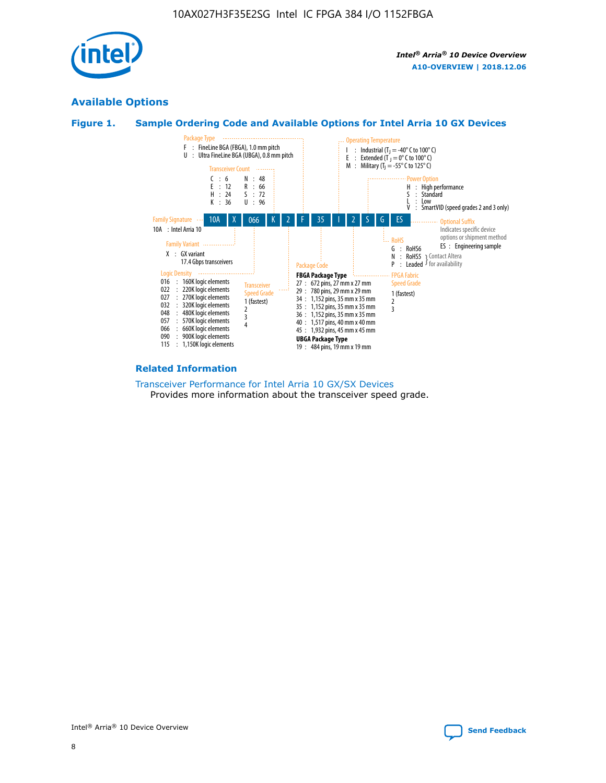

## **Available Options**





#### **Related Information**

[Transceiver Performance for Intel Arria 10 GX/SX Devices](https://www.intel.com/content/www/us/en/programmable/documentation/mcn1413182292568.html#mcn1413213965502) Provides more information about the transceiver speed grade.

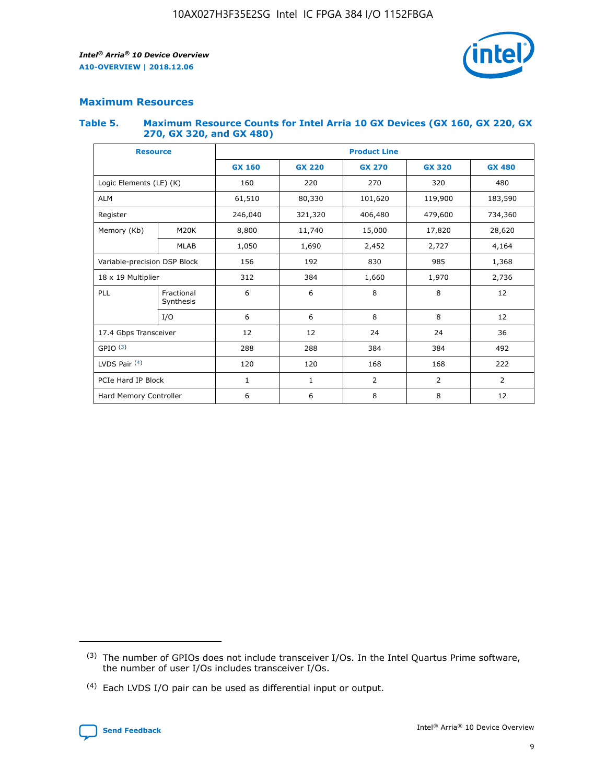

## **Maximum Resources**

#### **Table 5. Maximum Resource Counts for Intel Arria 10 GX Devices (GX 160, GX 220, GX 270, GX 320, and GX 480)**

| <b>Resource</b>              |                         | <b>Product Line</b> |                                |                |                |                |  |  |  |
|------------------------------|-------------------------|---------------------|--------------------------------|----------------|----------------|----------------|--|--|--|
|                              |                         | <b>GX 160</b>       | <b>GX 220</b><br><b>GX 270</b> |                | <b>GX 320</b>  | <b>GX 480</b>  |  |  |  |
| Logic Elements (LE) (K)      |                         | 160                 | 320<br>220<br>270              |                |                | 480            |  |  |  |
| <b>ALM</b>                   |                         | 61,510              | 80,330                         | 101,620        | 119,900        | 183,590        |  |  |  |
| Register                     |                         | 246,040             | 479,600<br>321,320<br>406,480  |                |                | 734,360        |  |  |  |
| Memory (Kb)                  | M <sub>20</sub> K       | 8,800               | 11,740                         | 15,000         | 17,820         | 28,620         |  |  |  |
|                              | <b>MLAB</b>             | 1,050               | 1,690                          | 2,452<br>2,727 |                | 4,164          |  |  |  |
| Variable-precision DSP Block |                         | 156                 | 192                            | 830            | 985            | 1,368          |  |  |  |
| 18 x 19 Multiplier           |                         | 312                 | 384                            | 1,970<br>1,660 |                | 2,736          |  |  |  |
| PLL                          | Fractional<br>Synthesis | 6                   | 6                              | 8              | 8              | 12             |  |  |  |
|                              | I/O                     | 6                   | 6                              | 8              | 8              | 12             |  |  |  |
| 17.4 Gbps Transceiver        |                         | 12                  | 12                             | 24             | 24             | 36             |  |  |  |
| GPIO <sup>(3)</sup>          |                         | 288                 | 288                            | 384            | 384            |                |  |  |  |
| LVDS Pair $(4)$              |                         | 120                 | 120                            | 168            | 168            | 222            |  |  |  |
| PCIe Hard IP Block           |                         | $\mathbf{1}$        | 1                              | $\overline{2}$ | $\overline{2}$ | $\overline{2}$ |  |  |  |
| Hard Memory Controller       |                         | 6                   | 6                              | 8              | 8              |                |  |  |  |

<sup>(4)</sup> Each LVDS I/O pair can be used as differential input or output.



<sup>(3)</sup> The number of GPIOs does not include transceiver I/Os. In the Intel Quartus Prime software, the number of user I/Os includes transceiver I/Os.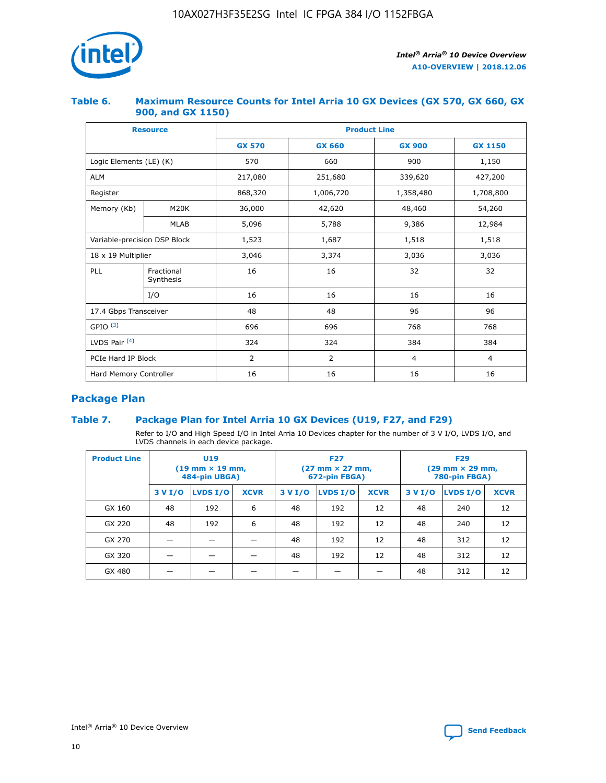

## **Table 6. Maximum Resource Counts for Intel Arria 10 GX Devices (GX 570, GX 660, GX 900, and GX 1150)**

|                              | <b>Resource</b>         | <b>Product Line</b> |               |                |                |  |  |  |
|------------------------------|-------------------------|---------------------|---------------|----------------|----------------|--|--|--|
|                              |                         | <b>GX 570</b>       | <b>GX 660</b> | <b>GX 900</b>  | <b>GX 1150</b> |  |  |  |
| Logic Elements (LE) (K)      |                         | 570                 | 660           | 900            | 1,150          |  |  |  |
| <b>ALM</b>                   |                         | 217,080             | 251,680       | 339,620        | 427,200        |  |  |  |
| Register                     |                         | 868,320             | 1,006,720     |                | 1,708,800      |  |  |  |
| Memory (Kb)                  | <b>M20K</b>             | 36,000              | 42,620        | 48,460         | 54,260         |  |  |  |
|                              | <b>MLAB</b>             | 5,096               | 5,788         | 9,386          | 12,984         |  |  |  |
| Variable-precision DSP Block |                         | 1,523               | 1,687         | 1,518          | 1,518          |  |  |  |
| 18 x 19 Multiplier           |                         | 3,046               | 3,374         | 3,036          | 3,036          |  |  |  |
| PLL                          | Fractional<br>Synthesis | 16                  | 16            | 32             | 32             |  |  |  |
|                              | I/O                     | 16                  | 16            | 16             | 16             |  |  |  |
| 17.4 Gbps Transceiver        |                         | 48                  | 48<br>96      |                | 96             |  |  |  |
| GPIO <sup>(3)</sup>          |                         | 696                 | 696           | 768            | 768            |  |  |  |
| LVDS Pair $(4)$              |                         | 324                 | 324           | 384            | 384            |  |  |  |
| PCIe Hard IP Block           |                         | 2                   | 2             | $\overline{4}$ | 4              |  |  |  |
| Hard Memory Controller       |                         | 16                  | 16            | 16             | 16             |  |  |  |

## **Package Plan**

## **Table 7. Package Plan for Intel Arria 10 GX Devices (U19, F27, and F29)**

Refer to I/O and High Speed I/O in Intel Arria 10 Devices chapter for the number of 3 V I/O, LVDS I/O, and LVDS channels in each device package.

| <b>Product Line</b> | <b>U19</b><br>$(19 \text{ mm} \times 19 \text{ mm})$<br>484-pin UBGA) |          |             | <b>F27</b><br>(27 mm × 27 mm,<br>672-pin FBGA) |          |             | <b>F29</b><br>(29 mm × 29 mm,<br>780-pin FBGA) |          |             |  |
|---------------------|-----------------------------------------------------------------------|----------|-------------|------------------------------------------------|----------|-------------|------------------------------------------------|----------|-------------|--|
|                     | 3 V I/O                                                               | LVDS I/O | <b>XCVR</b> | 3 V I/O                                        | LVDS I/O | <b>XCVR</b> | 3 V I/O                                        | LVDS I/O | <b>XCVR</b> |  |
| GX 160              | 48                                                                    | 192      | 6           | 48                                             | 192      | 12          | 48                                             | 240      | 12          |  |
| GX 220              | 48                                                                    | 192      | 6           | 48                                             | 192      | 12          | 48                                             | 240      | 12          |  |
| GX 270              |                                                                       |          |             | 48                                             | 192      | 12          | 48                                             | 312      | 12          |  |
| GX 320              |                                                                       |          |             | 48                                             | 192      | 12          | 48                                             | 312      | 12          |  |
| GX 480              |                                                                       |          |             |                                                |          |             | 48                                             | 312      | 12          |  |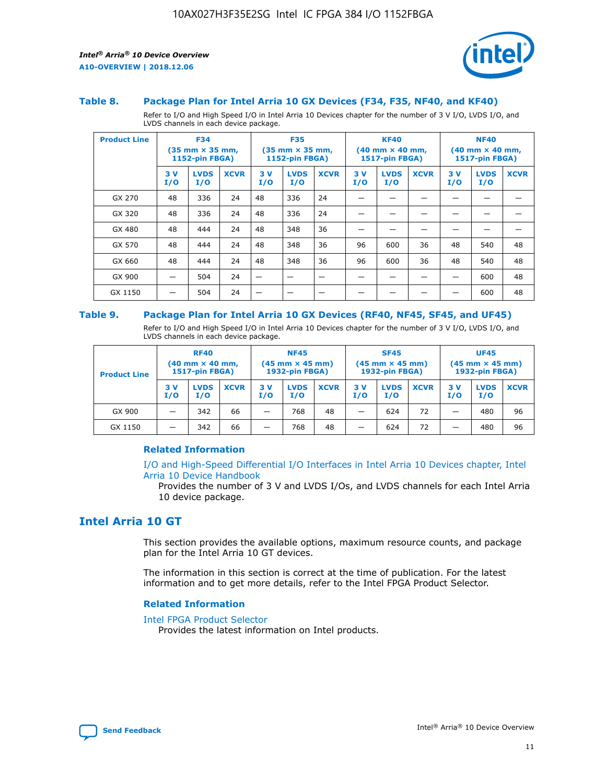

#### **Table 8. Package Plan for Intel Arria 10 GX Devices (F34, F35, NF40, and KF40)**

Refer to I/O and High Speed I/O in Intel Arria 10 Devices chapter for the number of 3 V I/O, LVDS I/O, and LVDS channels in each device package.

| <b>Product Line</b> | <b>F34</b><br>$(35 \text{ mm} \times 35 \text{ mm})$<br>1152-pin FBGA) |                    | <b>F35</b><br>$(35 \text{ mm} \times 35 \text{ mm})$<br><b>1152-pin FBGA)</b> |           | <b>KF40</b><br>$(40 \text{ mm} \times 40 \text{ mm})$<br>1517-pin FBGA) |             |            | <b>NF40</b><br>$(40 \text{ mm} \times 40 \text{ mm})$<br><b>1517-pin FBGA)</b> |             |            |                    |             |
|---------------------|------------------------------------------------------------------------|--------------------|-------------------------------------------------------------------------------|-----------|-------------------------------------------------------------------------|-------------|------------|--------------------------------------------------------------------------------|-------------|------------|--------------------|-------------|
|                     | 3V<br>I/O                                                              | <b>LVDS</b><br>I/O | <b>XCVR</b>                                                                   | 3V<br>I/O | <b>LVDS</b><br>I/O                                                      | <b>XCVR</b> | 3 V<br>I/O | <b>LVDS</b><br>I/O                                                             | <b>XCVR</b> | 3 V<br>I/O | <b>LVDS</b><br>I/O | <b>XCVR</b> |
| GX 270              | 48                                                                     | 336                | 24                                                                            | 48        | 336                                                                     | 24          |            |                                                                                |             |            |                    |             |
| GX 320              | 48                                                                     | 336                | 24                                                                            | 48        | 336                                                                     | 24          |            |                                                                                |             |            |                    |             |
| GX 480              | 48                                                                     | 444                | 24                                                                            | 48        | 348                                                                     | 36          |            |                                                                                |             |            |                    |             |
| GX 570              | 48                                                                     | 444                | 24                                                                            | 48        | 348                                                                     | 36          | 96         | 600                                                                            | 36          | 48         | 540                | 48          |
| GX 660              | 48                                                                     | 444                | 24                                                                            | 48        | 348                                                                     | 36          | 96         | 600                                                                            | 36          | 48         | 540                | 48          |
| GX 900              |                                                                        | 504                | 24                                                                            | -         |                                                                         |             |            |                                                                                |             |            | 600                | 48          |
| GX 1150             |                                                                        | 504                | 24                                                                            |           |                                                                         |             |            |                                                                                |             |            | 600                | 48          |

#### **Table 9. Package Plan for Intel Arria 10 GX Devices (RF40, NF45, SF45, and UF45)**

Refer to I/O and High Speed I/O in Intel Arria 10 Devices chapter for the number of 3 V I/O, LVDS I/O, and LVDS channels in each device package.

| <b>Product Line</b> | <b>RF40</b><br>$(40$ mm $\times$ 40 mm,<br>1517-pin FBGA) |                    | <b>NF45</b><br>$(45 \text{ mm} \times 45 \text{ mm})$<br><b>1932-pin FBGA)</b> |            |                    | <b>SF45</b><br>$(45 \text{ mm} \times 45 \text{ mm})$<br><b>1932-pin FBGA)</b> |            |                    | <b>UF45</b><br>$(45 \text{ mm} \times 45 \text{ mm})$<br><b>1932-pin FBGA)</b> |           |                    |             |
|---------------------|-----------------------------------------------------------|--------------------|--------------------------------------------------------------------------------|------------|--------------------|--------------------------------------------------------------------------------|------------|--------------------|--------------------------------------------------------------------------------|-----------|--------------------|-------------|
|                     | 3V<br>I/O                                                 | <b>LVDS</b><br>I/O | <b>XCVR</b>                                                                    | 3 V<br>I/O | <b>LVDS</b><br>I/O | <b>XCVR</b>                                                                    | 3 V<br>I/O | <b>LVDS</b><br>I/O | <b>XCVR</b>                                                                    | 3V<br>I/O | <b>LVDS</b><br>I/O | <b>XCVR</b> |
| GX 900              |                                                           | 342                | 66                                                                             | _          | 768                | 48                                                                             |            | 624                | 72                                                                             |           | 480                | 96          |
| GX 1150             |                                                           | 342                | 66                                                                             | _          | 768                | 48                                                                             |            | 624                | 72                                                                             |           | 480                | 96          |

### **Related Information**

[I/O and High-Speed Differential I/O Interfaces in Intel Arria 10 Devices chapter, Intel](https://www.intel.com/content/www/us/en/programmable/documentation/sam1403482614086.html#sam1403482030321) [Arria 10 Device Handbook](https://www.intel.com/content/www/us/en/programmable/documentation/sam1403482614086.html#sam1403482030321)

Provides the number of 3 V and LVDS I/Os, and LVDS channels for each Intel Arria 10 device package.

## **Intel Arria 10 GT**

This section provides the available options, maximum resource counts, and package plan for the Intel Arria 10 GT devices.

The information in this section is correct at the time of publication. For the latest information and to get more details, refer to the Intel FPGA Product Selector.

#### **Related Information**

#### [Intel FPGA Product Selector](http://www.altera.com/products/selector/psg-selector.html)

Provides the latest information on Intel products.

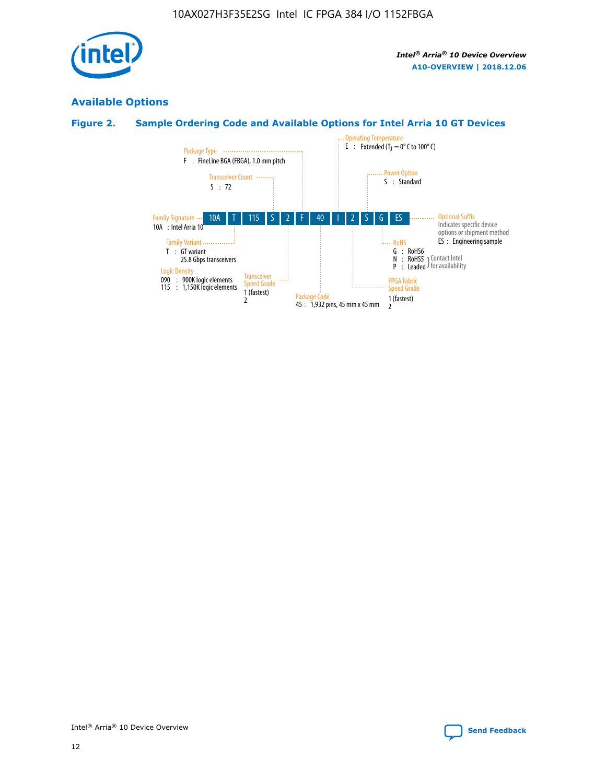

## **Available Options**

## **Figure 2. Sample Ordering Code and Available Options for Intel Arria 10 GT Devices**

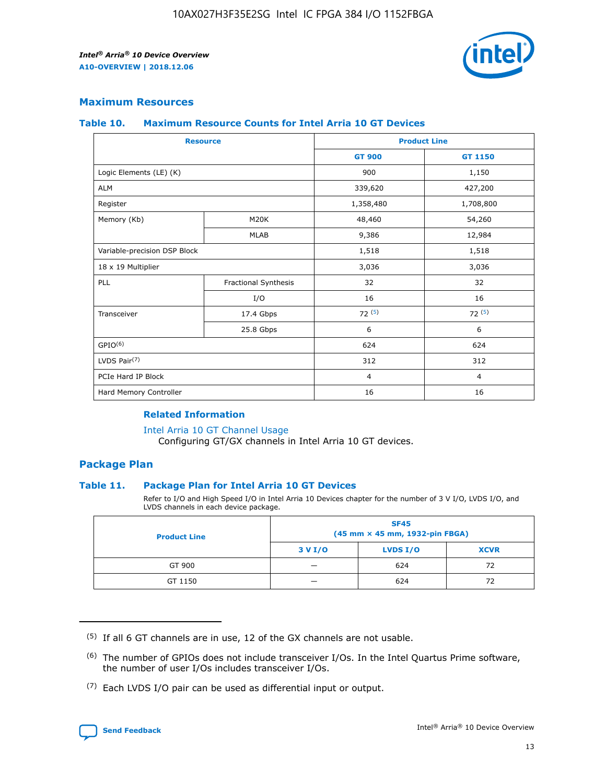

## **Maximum Resources**

#### **Table 10. Maximum Resource Counts for Intel Arria 10 GT Devices**

| <b>Resource</b>              |                      | <b>Product Line</b> |                |  |
|------------------------------|----------------------|---------------------|----------------|--|
|                              |                      | <b>GT 900</b>       | <b>GT 1150</b> |  |
| Logic Elements (LE) (K)      |                      | 900                 | 1,150          |  |
| <b>ALM</b>                   |                      | 339,620             | 427,200        |  |
| Register                     |                      | 1,358,480           | 1,708,800      |  |
| Memory (Kb)                  | M20K                 | 48,460              | 54,260         |  |
|                              | <b>MLAB</b>          | 9,386               | 12,984         |  |
| Variable-precision DSP Block |                      | 1,518               | 1,518          |  |
| 18 x 19 Multiplier           |                      | 3,036               | 3,036          |  |
| PLL                          | Fractional Synthesis | 32                  | 32             |  |
|                              | I/O                  | 16                  | 16             |  |
| Transceiver                  | 17.4 Gbps            | 72(5)               | 72(5)          |  |
|                              | 25.8 Gbps            | 6                   | 6              |  |
| GPIO <sup>(6)</sup>          |                      | 624                 | 624            |  |
| LVDS Pair $(7)$              |                      | 312                 | 312            |  |
| PCIe Hard IP Block           |                      | $\overline{4}$      | $\overline{4}$ |  |
| Hard Memory Controller       |                      | 16                  | 16             |  |

## **Related Information**

#### [Intel Arria 10 GT Channel Usage](https://www.intel.com/content/www/us/en/programmable/documentation/nik1398707230472.html#nik1398707008178)

Configuring GT/GX channels in Intel Arria 10 GT devices.

## **Package Plan**

#### **Table 11. Package Plan for Intel Arria 10 GT Devices**

Refer to I/O and High Speed I/O in Intel Arria 10 Devices chapter for the number of 3 V I/O, LVDS I/O, and LVDS channels in each device package.

| <b>Product Line</b> | <b>SF45</b><br>(45 mm × 45 mm, 1932-pin FBGA) |                 |             |  |  |  |
|---------------------|-----------------------------------------------|-----------------|-------------|--|--|--|
|                     | 3 V I/O                                       | <b>LVDS I/O</b> | <b>XCVR</b> |  |  |  |
| GT 900              |                                               | 624             | 72          |  |  |  |
| GT 1150             |                                               | 624             | 72          |  |  |  |

<sup>(7)</sup> Each LVDS I/O pair can be used as differential input or output.



 $(5)$  If all 6 GT channels are in use, 12 of the GX channels are not usable.

<sup>(6)</sup> The number of GPIOs does not include transceiver I/Os. In the Intel Quartus Prime software, the number of user I/Os includes transceiver I/Os.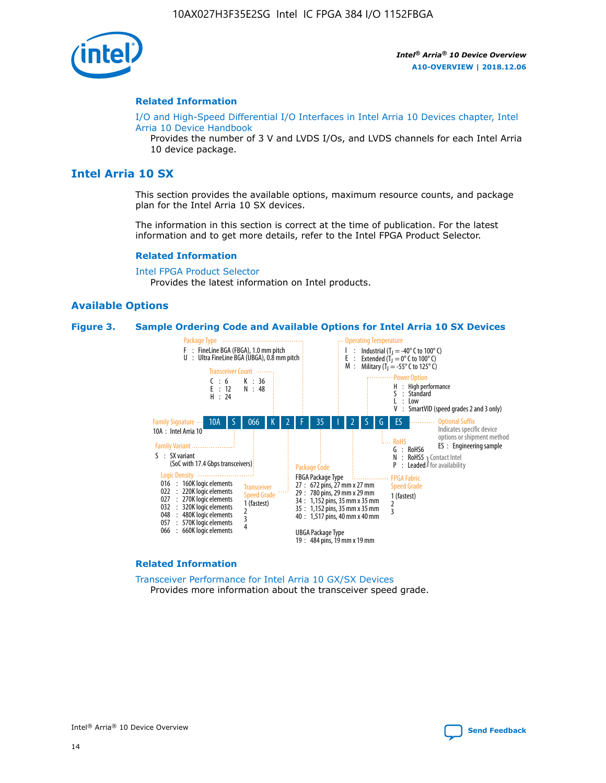

#### **Related Information**

[I/O and High-Speed Differential I/O Interfaces in Intel Arria 10 Devices chapter, Intel](https://www.intel.com/content/www/us/en/programmable/documentation/sam1403482614086.html#sam1403482030321) [Arria 10 Device Handbook](https://www.intel.com/content/www/us/en/programmable/documentation/sam1403482614086.html#sam1403482030321)

Provides the number of 3 V and LVDS I/Os, and LVDS channels for each Intel Arria 10 device package.

## **Intel Arria 10 SX**

This section provides the available options, maximum resource counts, and package plan for the Intel Arria 10 SX devices.

The information in this section is correct at the time of publication. For the latest information and to get more details, refer to the Intel FPGA Product Selector.

#### **Related Information**

[Intel FPGA Product Selector](http://www.altera.com/products/selector/psg-selector.html) Provides the latest information on Intel products.

#### **Available Options**

#### **Figure 3. Sample Ordering Code and Available Options for Intel Arria 10 SX Devices**



#### **Related Information**

[Transceiver Performance for Intel Arria 10 GX/SX Devices](https://www.intel.com/content/www/us/en/programmable/documentation/mcn1413182292568.html#mcn1413213965502) Provides more information about the transceiver speed grade.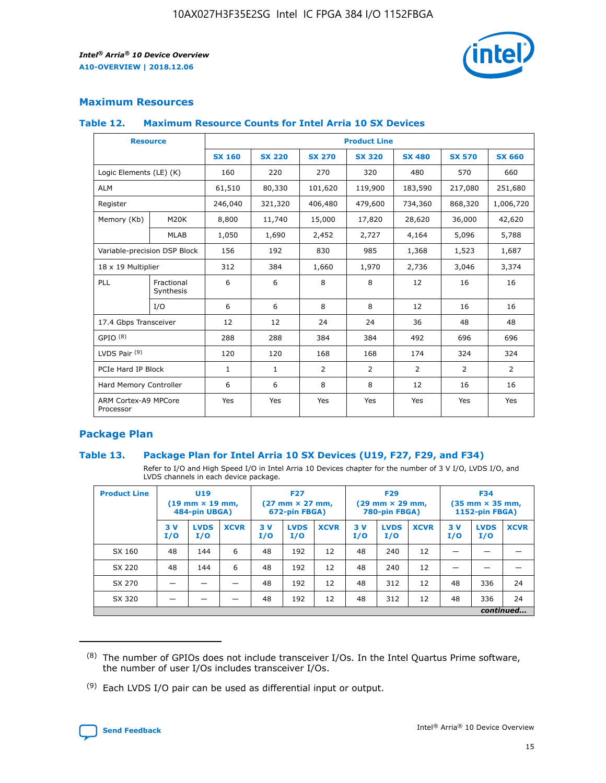

## **Maximum Resources**

#### **Table 12. Maximum Resource Counts for Intel Arria 10 SX Devices**

|                                   | <b>Resource</b>         | <b>Product Line</b> |               |                |                |                |                |                |  |  |  |
|-----------------------------------|-------------------------|---------------------|---------------|----------------|----------------|----------------|----------------|----------------|--|--|--|
|                                   |                         | <b>SX 160</b>       | <b>SX 220</b> | <b>SX 270</b>  | <b>SX 320</b>  | <b>SX 480</b>  | <b>SX 570</b>  | <b>SX 660</b>  |  |  |  |
| Logic Elements (LE) (K)           |                         | 160                 | 220           | 270            | 320            | 480            | 570            | 660            |  |  |  |
| <b>ALM</b>                        |                         | 61,510              | 80,330        | 101,620        | 119,900        | 183,590        | 217,080        | 251,680        |  |  |  |
| Register                          |                         | 246,040             | 321,320       | 406,480        | 479,600        | 734,360        | 868,320        | 1,006,720      |  |  |  |
| Memory (Kb)                       | M <sub>20</sub> K       | 8,800               | 11,740        | 15,000         | 17,820         | 28,620         | 36,000         | 42,620         |  |  |  |
|                                   | <b>MLAB</b>             | 1,050               | 1,690         | 2,452          | 2,727          | 4,164          | 5,096          | 5,788          |  |  |  |
| Variable-precision DSP Block      |                         | 156                 | 192           | 830            | 985            | 1,368          | 1,523          | 1,687          |  |  |  |
| 18 x 19 Multiplier                |                         | 312                 | 384           | 1,660          | 1,970          | 2,736          | 3,046          | 3,374          |  |  |  |
| <b>PLL</b>                        | Fractional<br>Synthesis | 6                   | 6             | 8              | 8              | 12             | 16             | 16             |  |  |  |
|                                   | I/O                     | 6                   | 6             | 8              | 8              | 12             | 16             | 16             |  |  |  |
| 17.4 Gbps Transceiver             |                         | 12                  | 12            | 24             | 24             | 36             | 48             | 48             |  |  |  |
| GPIO <sup>(8)</sup>               |                         | 288                 | 288           | 384            | 384            | 492            | 696            | 696            |  |  |  |
| LVDS Pair $(9)$                   |                         | 120                 | 120           | 168            | 168            | 174            | 324            | 324            |  |  |  |
| PCIe Hard IP Block                |                         | $\mathbf{1}$        | $\mathbf{1}$  | $\overline{2}$ | $\overline{2}$ | $\overline{2}$ | $\overline{2}$ | $\overline{2}$ |  |  |  |
| Hard Memory Controller            |                         | 6                   | 6             | 8              | 8              | 12             | 16             | 16             |  |  |  |
| ARM Cortex-A9 MPCore<br>Processor |                         | Yes                 | Yes           | Yes            | Yes            | Yes            | Yes            | Yes            |  |  |  |

## **Package Plan**

#### **Table 13. Package Plan for Intel Arria 10 SX Devices (U19, F27, F29, and F34)**

Refer to I/O and High Speed I/O in Intel Arria 10 Devices chapter for the number of 3 V I/O, LVDS I/O, and LVDS channels in each device package.

| <b>Product Line</b> | U19<br>$(19 \text{ mm} \times 19 \text{ mm})$<br>484-pin UBGA) |                    |             | <b>F27</b><br>$(27 \text{ mm} \times 27 \text{ mm})$<br>672-pin FBGA) |                    | <b>F29</b><br>$(29 \text{ mm} \times 29 \text{ mm})$<br>780-pin FBGA) |           |                    | <b>F34</b><br>$(35 \text{ mm} \times 35 \text{ mm})$<br><b>1152-pin FBGA)</b> |           |                    |             |
|---------------------|----------------------------------------------------------------|--------------------|-------------|-----------------------------------------------------------------------|--------------------|-----------------------------------------------------------------------|-----------|--------------------|-------------------------------------------------------------------------------|-----------|--------------------|-------------|
|                     | 3V<br>I/O                                                      | <b>LVDS</b><br>I/O | <b>XCVR</b> | 3V<br>I/O                                                             | <b>LVDS</b><br>I/O | <b>XCVR</b>                                                           | 3V<br>I/O | <b>LVDS</b><br>I/O | <b>XCVR</b>                                                                   | 3V<br>I/O | <b>LVDS</b><br>I/O | <b>XCVR</b> |
| SX 160              | 48                                                             | 144                | 6           | 48                                                                    | 192                | 12                                                                    | 48        | 240                | 12                                                                            |           |                    |             |
| SX 220              | 48                                                             | 144                | 6           | 48                                                                    | 192                | 12                                                                    | 48        | 240                | 12                                                                            |           |                    |             |
| SX 270              |                                                                |                    |             | 48                                                                    | 192                | 12                                                                    | 48        | 312                | 12                                                                            | 48        | 336                | 24          |
| SX 320              |                                                                |                    |             | 48                                                                    | 192                | 12                                                                    | 48        | 312                | 12                                                                            | 48        | 336                | 24          |
|                     | continued                                                      |                    |             |                                                                       |                    |                                                                       |           |                    |                                                                               |           |                    |             |

 $(8)$  The number of GPIOs does not include transceiver I/Os. In the Intel Quartus Prime software, the number of user I/Os includes transceiver I/Os.

 $(9)$  Each LVDS I/O pair can be used as differential input or output.

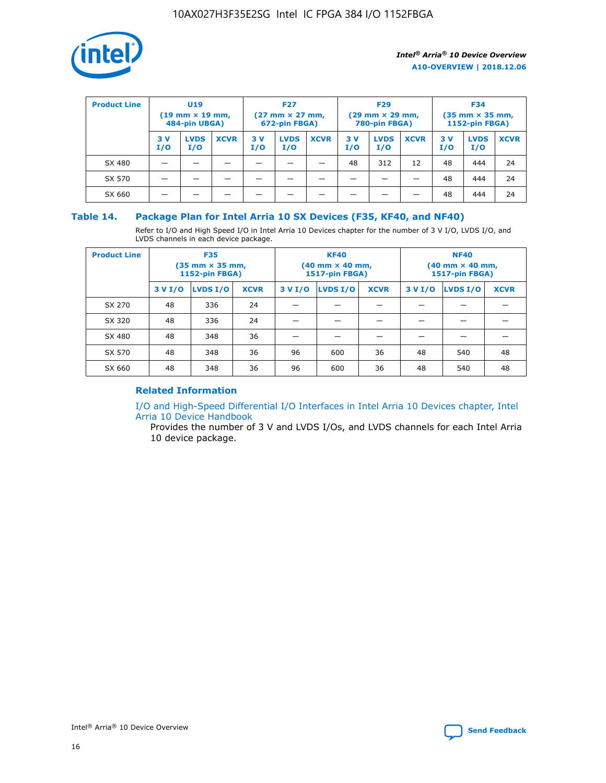

| <b>Product Line</b> | U <sub>19</sub><br>$(19 \text{ mm} \times 19 \text{ mm})$<br>484-pin UBGA) |                    | <b>F27</b><br>$(27 \text{ mm} \times 27 \text{ mm})$<br>672-pin FBGA) |           | <b>F29</b><br>$(29 \text{ mm} \times 29 \text{ mm})$<br>780-pin FBGA) |             |           | <b>F34</b><br>$(35 \text{ mm} \times 35 \text{ mm})$<br><b>1152-pin FBGA)</b> |             |           |                    |             |
|---------------------|----------------------------------------------------------------------------|--------------------|-----------------------------------------------------------------------|-----------|-----------------------------------------------------------------------|-------------|-----------|-------------------------------------------------------------------------------|-------------|-----------|--------------------|-------------|
|                     | 3 V<br>I/O                                                                 | <b>LVDS</b><br>I/O | <b>XCVR</b>                                                           | 3V<br>I/O | <b>LVDS</b><br>I/O                                                    | <b>XCVR</b> | 3V<br>I/O | <b>LVDS</b><br>I/O                                                            | <b>XCVR</b> | 3V<br>I/O | <b>LVDS</b><br>I/O | <b>XCVR</b> |
| SX 480              |                                                                            |                    |                                                                       |           |                                                                       |             | 48        | 312                                                                           | 12          | 48        | 444                | 24          |
| SX 570              |                                                                            |                    |                                                                       |           |                                                                       |             |           |                                                                               |             | 48        | 444                | 24          |
| SX 660              |                                                                            |                    |                                                                       |           |                                                                       |             |           |                                                                               |             | 48        | 444                | 24          |

## **Table 14. Package Plan for Intel Arria 10 SX Devices (F35, KF40, and NF40)**

Refer to I/O and High Speed I/O in Intel Arria 10 Devices chapter for the number of 3 V I/O, LVDS I/O, and LVDS channels in each device package.

| <b>Product Line</b> | <b>F35</b><br>$(35 \text{ mm} \times 35 \text{ mm})$<br><b>1152-pin FBGA)</b> |          |             |                                           | <b>KF40</b><br>(40 mm × 40 mm,<br>1517-pin FBGA) |    | <b>NF40</b><br>$(40 \text{ mm} \times 40 \text{ mm})$<br>1517-pin FBGA) |          |             |  |
|---------------------|-------------------------------------------------------------------------------|----------|-------------|-------------------------------------------|--------------------------------------------------|----|-------------------------------------------------------------------------|----------|-------------|--|
|                     | 3 V I/O                                                                       | LVDS I/O | <b>XCVR</b> | <b>LVDS I/O</b><br><b>XCVR</b><br>3 V I/O |                                                  |    | 3 V I/O                                                                 | LVDS I/O | <b>XCVR</b> |  |
| SX 270              | 48                                                                            | 336      | 24          |                                           |                                                  |    |                                                                         |          |             |  |
| SX 320              | 48                                                                            | 336      | 24          |                                           |                                                  |    |                                                                         |          |             |  |
| SX 480              | 48                                                                            | 348      | 36          |                                           |                                                  |    |                                                                         |          |             |  |
| SX 570              | 48                                                                            | 348      | 36          | 96                                        | 600                                              | 36 | 48                                                                      | 540      | 48          |  |
| SX 660              | 48                                                                            | 348      | 36          | 96                                        | 600                                              | 36 | 48                                                                      | 540      | 48          |  |

## **Related Information**

[I/O and High-Speed Differential I/O Interfaces in Intel Arria 10 Devices chapter, Intel](https://www.intel.com/content/www/us/en/programmable/documentation/sam1403482614086.html#sam1403482030321) [Arria 10 Device Handbook](https://www.intel.com/content/www/us/en/programmable/documentation/sam1403482614086.html#sam1403482030321)

Provides the number of 3 V and LVDS I/Os, and LVDS channels for each Intel Arria 10 device package.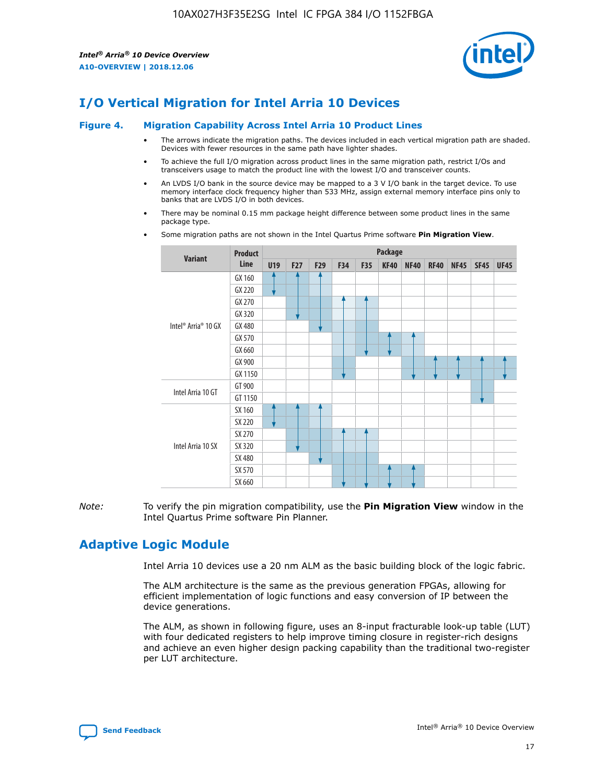

# **I/O Vertical Migration for Intel Arria 10 Devices**

#### **Figure 4. Migration Capability Across Intel Arria 10 Product Lines**

- The arrows indicate the migration paths. The devices included in each vertical migration path are shaded. Devices with fewer resources in the same path have lighter shades.
- To achieve the full I/O migration across product lines in the same migration path, restrict I/Os and transceivers usage to match the product line with the lowest I/O and transceiver counts.
- An LVDS I/O bank in the source device may be mapped to a 3 V I/O bank in the target device. To use memory interface clock frequency higher than 533 MHz, assign external memory interface pins only to banks that are LVDS I/O in both devices.
- There may be nominal 0.15 mm package height difference between some product lines in the same package type.
	- **Variant Product Line Package U19 F27 F29 F34 F35 KF40 NF40 RF40 NF45 SF45 UF45** Intel® Arria® 10 GX GX 160 GX 220 GX 270 GX 320 GX 480 GX 570 GX 660 GX 900 GX 1150 Intel Arria 10 GT GT 900 GT 1150 Intel Arria 10 SX SX 160 SX 220 SX 270 SX 320 SX 480 SX 570 SX 660
- Some migration paths are not shown in the Intel Quartus Prime software **Pin Migration View**.

*Note:* To verify the pin migration compatibility, use the **Pin Migration View** window in the Intel Quartus Prime software Pin Planner.

## **Adaptive Logic Module**

Intel Arria 10 devices use a 20 nm ALM as the basic building block of the logic fabric.

The ALM architecture is the same as the previous generation FPGAs, allowing for efficient implementation of logic functions and easy conversion of IP between the device generations.

The ALM, as shown in following figure, uses an 8-input fracturable look-up table (LUT) with four dedicated registers to help improve timing closure in register-rich designs and achieve an even higher design packing capability than the traditional two-register per LUT architecture.

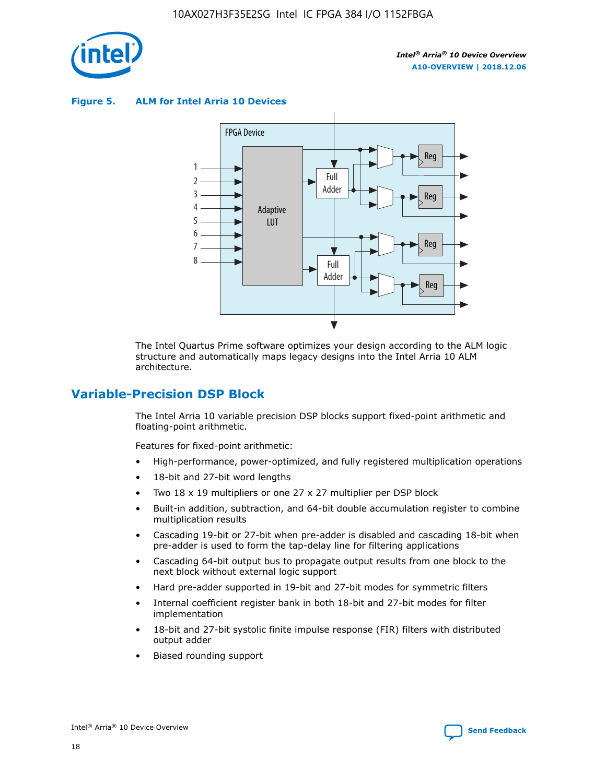

**Figure 5. ALM for Intel Arria 10 Devices**



The Intel Quartus Prime software optimizes your design according to the ALM logic structure and automatically maps legacy designs into the Intel Arria 10 ALM architecture.

## **Variable-Precision DSP Block**

The Intel Arria 10 variable precision DSP blocks support fixed-point arithmetic and floating-point arithmetic.

Features for fixed-point arithmetic:

- High-performance, power-optimized, and fully registered multiplication operations
- 18-bit and 27-bit word lengths
- Two 18 x 19 multipliers or one 27 x 27 multiplier per DSP block
- Built-in addition, subtraction, and 64-bit double accumulation register to combine multiplication results
- Cascading 19-bit or 27-bit when pre-adder is disabled and cascading 18-bit when pre-adder is used to form the tap-delay line for filtering applications
- Cascading 64-bit output bus to propagate output results from one block to the next block without external logic support
- Hard pre-adder supported in 19-bit and 27-bit modes for symmetric filters
- Internal coefficient register bank in both 18-bit and 27-bit modes for filter implementation
- 18-bit and 27-bit systolic finite impulse response (FIR) filters with distributed output adder
- Biased rounding support

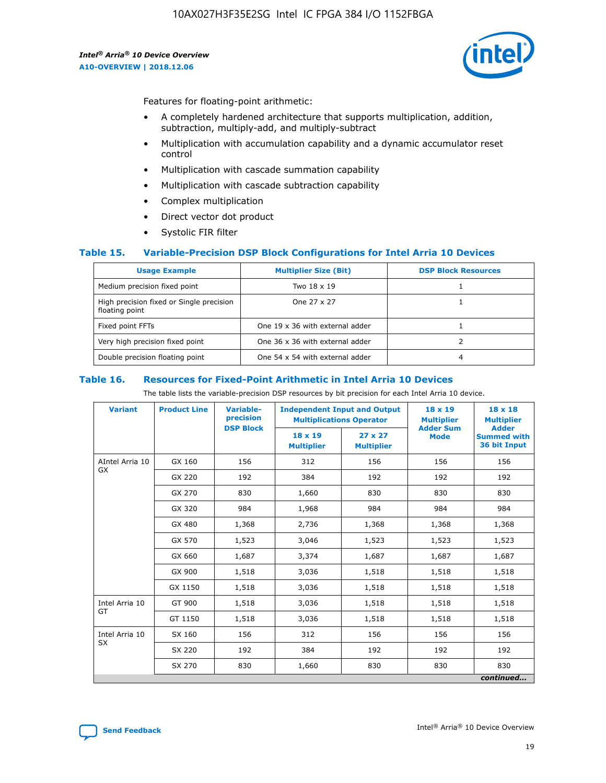

Features for floating-point arithmetic:

- A completely hardened architecture that supports multiplication, addition, subtraction, multiply-add, and multiply-subtract
- Multiplication with accumulation capability and a dynamic accumulator reset control
- Multiplication with cascade summation capability
- Multiplication with cascade subtraction capability
- Complex multiplication
- Direct vector dot product
- Systolic FIR filter

#### **Table 15. Variable-Precision DSP Block Configurations for Intel Arria 10 Devices**

| <b>Usage Example</b>                                       | <b>Multiplier Size (Bit)</b>    | <b>DSP Block Resources</b> |
|------------------------------------------------------------|---------------------------------|----------------------------|
| Medium precision fixed point                               | Two 18 x 19                     |                            |
| High precision fixed or Single precision<br>floating point | One 27 x 27                     |                            |
| Fixed point FFTs                                           | One 19 x 36 with external adder |                            |
| Very high precision fixed point                            | One 36 x 36 with external adder |                            |
| Double precision floating point                            | One 54 x 54 with external adder | 4                          |

#### **Table 16. Resources for Fixed-Point Arithmetic in Intel Arria 10 Devices**

The table lists the variable-precision DSP resources by bit precision for each Intel Arria 10 device.

| <b>Variant</b>  | <b>Product Line</b> | <b>Variable-</b><br>precision<br><b>DSP Block</b> | <b>Independent Input and Output</b><br><b>Multiplications Operator</b> |                                     | 18 x 19<br><b>Multiplier</b><br><b>Adder Sum</b> | $18 \times 18$<br><b>Multiplier</b><br><b>Adder</b> |
|-----------------|---------------------|---------------------------------------------------|------------------------------------------------------------------------|-------------------------------------|--------------------------------------------------|-----------------------------------------------------|
|                 |                     |                                                   | 18 x 19<br><b>Multiplier</b>                                           | $27 \times 27$<br><b>Multiplier</b> | <b>Mode</b>                                      | <b>Summed with</b><br>36 bit Input                  |
| AIntel Arria 10 | GX 160              | 156                                               | 312                                                                    | 156                                 | 156                                              | 156                                                 |
| GX              | GX 220              | 192                                               | 384                                                                    | 192                                 | 192                                              | 192                                                 |
|                 | GX 270              | 830                                               | 1,660                                                                  | 830                                 | 830                                              | 830                                                 |
|                 | GX 320              | 984                                               | 1,968                                                                  | 984                                 | 984                                              | 984                                                 |
|                 | GX 480              | 1,368                                             | 2,736                                                                  | 1,368                               | 1,368                                            | 1,368                                               |
|                 | GX 570              | 1,523                                             | 3,046                                                                  | 1,523                               | 1,523                                            | 1,523                                               |
|                 | GX 660              | 1,687                                             | 3,374                                                                  | 1,687                               | 1,687                                            | 1,687                                               |
|                 | GX 900              | 1,518                                             | 3,036                                                                  | 1,518                               | 1,518                                            | 1,518                                               |
|                 | GX 1150             | 1,518                                             | 3,036                                                                  | 1,518                               | 1,518                                            | 1,518                                               |
| Intel Arria 10  | GT 900              | 1,518                                             | 3,036                                                                  | 1,518                               | 1,518                                            | 1,518                                               |
| GT              | GT 1150             | 1,518                                             | 3,036                                                                  | 1,518                               | 1,518                                            | 1,518                                               |
| Intel Arria 10  | SX 160              | 156                                               | 312                                                                    | 156                                 | 156                                              | 156                                                 |
| <b>SX</b>       | SX 220              | 192                                               | 384                                                                    | 192                                 | 192                                              | 192                                                 |
|                 | SX 270              | 830                                               | 1,660                                                                  | 830                                 | 830                                              | 830                                                 |
|                 |                     |                                                   |                                                                        |                                     |                                                  | continued                                           |

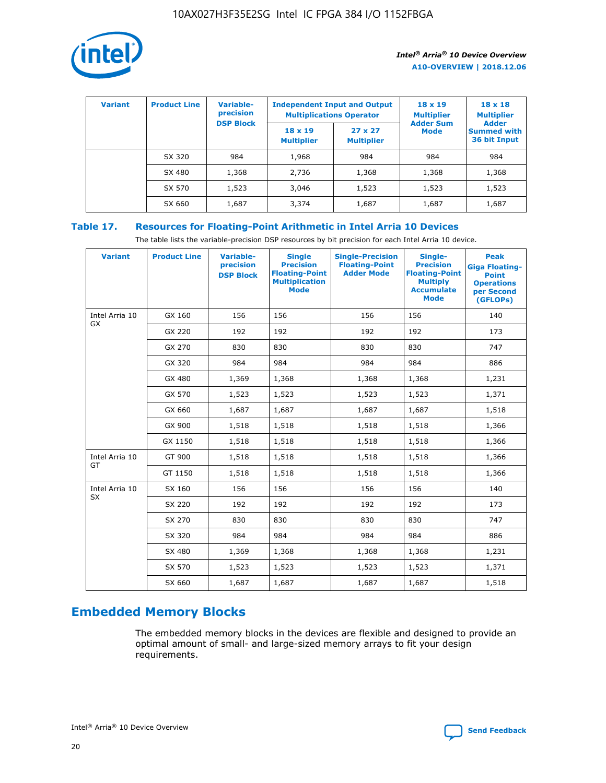

| <b>Variant</b> | <b>Product Line</b> | <b>Variable-</b><br>precision |                                     | <b>Independent Input and Output</b><br><b>Multiplications Operator</b> | $18 \times 19$<br><b>Multiplier</b> | $18 \times 18$<br><b>Multiplier</b><br><b>Adder</b> |  |
|----------------|---------------------|-------------------------------|-------------------------------------|------------------------------------------------------------------------|-------------------------------------|-----------------------------------------------------|--|
|                |                     | <b>DSP Block</b>              | $18 \times 19$<br><b>Multiplier</b> | $27 \times 27$<br><b>Multiplier</b>                                    | <b>Adder Sum</b><br>Mode            | <b>Summed with</b><br>36 bit Input                  |  |
|                | SX 320              | 984                           | 1,968                               | 984                                                                    | 984                                 | 984                                                 |  |
|                | SX 480              | 1,368                         | 2,736                               | 1,368                                                                  | 1,368                               | 1,368                                               |  |
|                | SX 570              | 1,523                         | 3,046                               | 1,523                                                                  | 1,523                               | 1,523                                               |  |
|                | SX 660              | 1,687                         | 3,374                               | 1,687                                                                  | 1,687                               | 1,687                                               |  |

## **Table 17. Resources for Floating-Point Arithmetic in Intel Arria 10 Devices**

The table lists the variable-precision DSP resources by bit precision for each Intel Arria 10 device.

| <b>Variant</b> | <b>Product Line</b> | <b>Variable-</b><br>precision<br><b>DSP Block</b> | <b>Single</b><br><b>Precision</b><br><b>Floating-Point</b><br><b>Multiplication</b><br><b>Mode</b> | <b>Single-Precision</b><br><b>Floating-Point</b><br><b>Adder Mode</b> | Single-<br><b>Precision</b><br><b>Floating-Point</b><br><b>Multiply</b><br><b>Accumulate</b><br><b>Mode</b> | <b>Peak</b><br><b>Giga Floating-</b><br><b>Point</b><br><b>Operations</b><br>per Second<br>(GFLOPs) |
|----------------|---------------------|---------------------------------------------------|----------------------------------------------------------------------------------------------------|-----------------------------------------------------------------------|-------------------------------------------------------------------------------------------------------------|-----------------------------------------------------------------------------------------------------|
| Intel Arria 10 | GX 160              | 156                                               | 156                                                                                                | 156                                                                   | 156                                                                                                         | 140                                                                                                 |
| GX             | GX 220              | 192                                               | 192                                                                                                | 192                                                                   | 192                                                                                                         | 173                                                                                                 |
|                | GX 270              | 830                                               | 830                                                                                                | 830                                                                   | 830                                                                                                         | 747                                                                                                 |
|                | GX 320              | 984                                               | 984                                                                                                | 984                                                                   | 984                                                                                                         | 886                                                                                                 |
|                | GX 480              | 1,369                                             | 1,368                                                                                              | 1,368                                                                 | 1,368                                                                                                       | 1,231                                                                                               |
|                | GX 570              | 1,523                                             | 1,523                                                                                              | 1,523                                                                 | 1,523                                                                                                       | 1,371                                                                                               |
|                | GX 660              | 1,687                                             | 1,687                                                                                              | 1,687                                                                 | 1,687                                                                                                       | 1,518                                                                                               |
|                | GX 900              | 1,518                                             | 1,518                                                                                              | 1,518                                                                 | 1,518                                                                                                       | 1,366                                                                                               |
|                | GX 1150             | 1,518                                             | 1,518                                                                                              | 1,518                                                                 | 1,518                                                                                                       | 1,366                                                                                               |
| Intel Arria 10 | GT 900              | 1,518                                             | 1,518                                                                                              | 1,518                                                                 | 1,518                                                                                                       | 1,366                                                                                               |
| GT             | GT 1150             | 1,518                                             | 1,518                                                                                              | 1,518                                                                 | 1,518                                                                                                       | 1,366                                                                                               |
| Intel Arria 10 | SX 160              | 156                                               | 156                                                                                                | 156                                                                   | 156                                                                                                         | 140                                                                                                 |
| SX             | SX 220              | 192                                               | 192                                                                                                | 192                                                                   | 192                                                                                                         | 173                                                                                                 |
|                | SX 270              | 830                                               | 830                                                                                                | 830                                                                   | 830                                                                                                         | 747                                                                                                 |
|                | SX 320              | 984                                               | 984                                                                                                | 984                                                                   | 984                                                                                                         | 886                                                                                                 |
|                | SX 480              | 1,369                                             | 1,368                                                                                              | 1,368                                                                 | 1,368                                                                                                       | 1,231                                                                                               |
|                | SX 570              | 1,523                                             | 1,523                                                                                              | 1,523                                                                 | 1,523                                                                                                       | 1,371                                                                                               |
|                | SX 660              | 1,687                                             | 1,687                                                                                              | 1,687                                                                 | 1,687                                                                                                       | 1,518                                                                                               |

# **Embedded Memory Blocks**

The embedded memory blocks in the devices are flexible and designed to provide an optimal amount of small- and large-sized memory arrays to fit your design requirements.

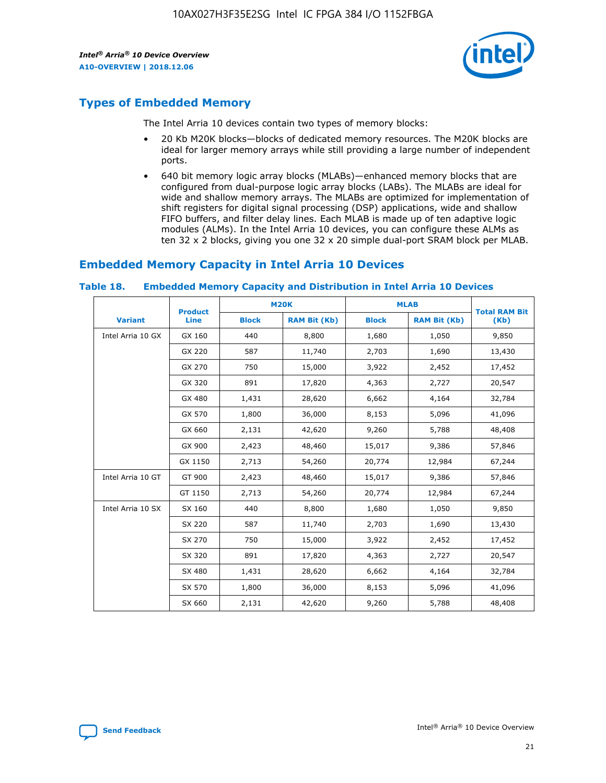

## **Types of Embedded Memory**

The Intel Arria 10 devices contain two types of memory blocks:

- 20 Kb M20K blocks—blocks of dedicated memory resources. The M20K blocks are ideal for larger memory arrays while still providing a large number of independent ports.
- 640 bit memory logic array blocks (MLABs)—enhanced memory blocks that are configured from dual-purpose logic array blocks (LABs). The MLABs are ideal for wide and shallow memory arrays. The MLABs are optimized for implementation of shift registers for digital signal processing (DSP) applications, wide and shallow FIFO buffers, and filter delay lines. Each MLAB is made up of ten adaptive logic modules (ALMs). In the Intel Arria 10 devices, you can configure these ALMs as ten 32 x 2 blocks, giving you one 32 x 20 simple dual-port SRAM block per MLAB.

## **Embedded Memory Capacity in Intel Arria 10 Devices**

|                   | <b>Product</b> |              | <b>M20K</b>         | <b>MLAB</b>  |                     | <b>Total RAM Bit</b> |
|-------------------|----------------|--------------|---------------------|--------------|---------------------|----------------------|
| <b>Variant</b>    | Line           | <b>Block</b> | <b>RAM Bit (Kb)</b> | <b>Block</b> | <b>RAM Bit (Kb)</b> | (Kb)                 |
| Intel Arria 10 GX | GX 160         | 440          | 8,800               | 1,680        | 1,050               | 9,850                |
|                   | GX 220         | 587          | 11,740              | 2,703        | 1,690               | 13,430               |
|                   | GX 270         | 750          | 15,000              | 3,922        | 2,452               | 17,452               |
|                   | GX 320         | 891          | 17,820              | 4,363        | 2,727               | 20,547               |
|                   | GX 480         | 1,431        | 28,620              | 6,662        | 4,164               | 32,784               |
|                   | GX 570         | 1,800        | 36,000              | 8,153        | 5,096               | 41,096               |
|                   | GX 660         | 2,131        | 42,620              | 9,260        | 5,788               | 48,408               |
|                   | GX 900         | 2,423        | 48,460              | 15,017       | 9,386               | 57,846               |
|                   | GX 1150        | 2,713        | 54,260              | 20,774       | 12,984              | 67,244               |
| Intel Arria 10 GT | GT 900         | 2,423        | 48,460              | 15,017       | 9,386               | 57,846               |
|                   | GT 1150        | 2,713        | 54,260              | 20,774       | 12,984              | 67,244               |
| Intel Arria 10 SX | SX 160         | 440          | 8,800               | 1,680        | 1,050               | 9,850                |
|                   | SX 220         | 587          | 11,740              | 2,703        | 1,690               | 13,430               |
|                   | SX 270         | 750          | 15,000              | 3,922        | 2,452               | 17,452               |
|                   | SX 320         | 891          | 17,820              | 4,363        | 2,727               | 20,547               |
|                   | SX 480         | 1,431        | 28,620              | 6,662        | 4,164               | 32,784               |
|                   | SX 570         | 1,800        | 36,000              | 8,153        | 5,096               | 41,096               |
|                   | SX 660         | 2,131        | 42,620              | 9,260        | 5,788               | 48,408               |

#### **Table 18. Embedded Memory Capacity and Distribution in Intel Arria 10 Devices**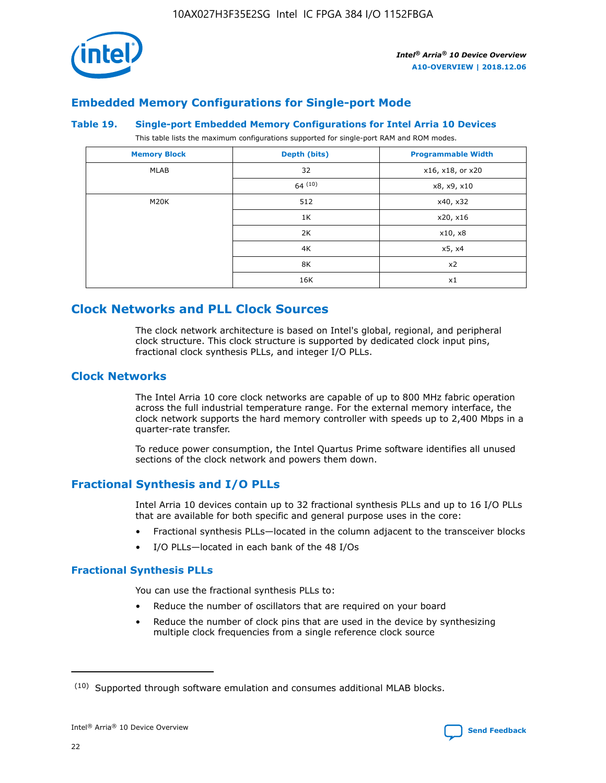

## **Embedded Memory Configurations for Single-port Mode**

#### **Table 19. Single-port Embedded Memory Configurations for Intel Arria 10 Devices**

This table lists the maximum configurations supported for single-port RAM and ROM modes.

| <b>Memory Block</b> | Depth (bits) | <b>Programmable Width</b> |
|---------------------|--------------|---------------------------|
| MLAB                | 32           | x16, x18, or x20          |
|                     | 64(10)       | x8, x9, x10               |
| M20K                | 512          | x40, x32                  |
|                     | 1K           | x20, x16                  |
|                     | 2K           | x10, x8                   |
|                     | 4K           | x5, x4                    |
|                     | 8K           | x2                        |
|                     | 16K          | x1                        |

## **Clock Networks and PLL Clock Sources**

The clock network architecture is based on Intel's global, regional, and peripheral clock structure. This clock structure is supported by dedicated clock input pins, fractional clock synthesis PLLs, and integer I/O PLLs.

## **Clock Networks**

The Intel Arria 10 core clock networks are capable of up to 800 MHz fabric operation across the full industrial temperature range. For the external memory interface, the clock network supports the hard memory controller with speeds up to 2,400 Mbps in a quarter-rate transfer.

To reduce power consumption, the Intel Quartus Prime software identifies all unused sections of the clock network and powers them down.

## **Fractional Synthesis and I/O PLLs**

Intel Arria 10 devices contain up to 32 fractional synthesis PLLs and up to 16 I/O PLLs that are available for both specific and general purpose uses in the core:

- Fractional synthesis PLLs—located in the column adjacent to the transceiver blocks
- I/O PLLs—located in each bank of the 48 I/Os

## **Fractional Synthesis PLLs**

You can use the fractional synthesis PLLs to:

- Reduce the number of oscillators that are required on your board
- Reduce the number of clock pins that are used in the device by synthesizing multiple clock frequencies from a single reference clock source

<sup>(10)</sup> Supported through software emulation and consumes additional MLAB blocks.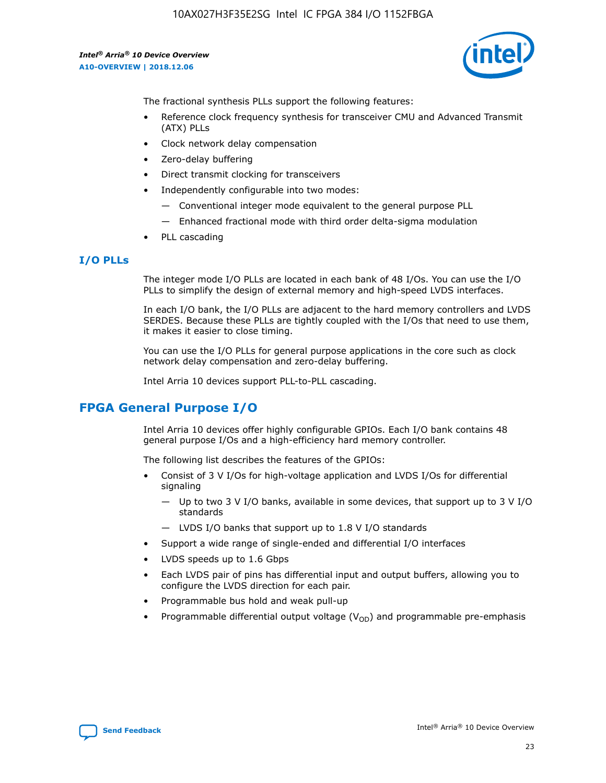

The fractional synthesis PLLs support the following features:

- Reference clock frequency synthesis for transceiver CMU and Advanced Transmit (ATX) PLLs
- Clock network delay compensation
- Zero-delay buffering
- Direct transmit clocking for transceivers
- Independently configurable into two modes:
	- Conventional integer mode equivalent to the general purpose PLL
	- Enhanced fractional mode with third order delta-sigma modulation
- PLL cascading

#### **I/O PLLs**

The integer mode I/O PLLs are located in each bank of 48 I/Os. You can use the I/O PLLs to simplify the design of external memory and high-speed LVDS interfaces.

In each I/O bank, the I/O PLLs are adjacent to the hard memory controllers and LVDS SERDES. Because these PLLs are tightly coupled with the I/Os that need to use them, it makes it easier to close timing.

You can use the I/O PLLs for general purpose applications in the core such as clock network delay compensation and zero-delay buffering.

Intel Arria 10 devices support PLL-to-PLL cascading.

## **FPGA General Purpose I/O**

Intel Arria 10 devices offer highly configurable GPIOs. Each I/O bank contains 48 general purpose I/Os and a high-efficiency hard memory controller.

The following list describes the features of the GPIOs:

- Consist of 3 V I/Os for high-voltage application and LVDS I/Os for differential signaling
	- Up to two 3 V I/O banks, available in some devices, that support up to 3 V I/O standards
	- LVDS I/O banks that support up to 1.8 V I/O standards
- Support a wide range of single-ended and differential I/O interfaces
- LVDS speeds up to 1.6 Gbps
- Each LVDS pair of pins has differential input and output buffers, allowing you to configure the LVDS direction for each pair.
- Programmable bus hold and weak pull-up
- Programmable differential output voltage  $(V_{OD})$  and programmable pre-emphasis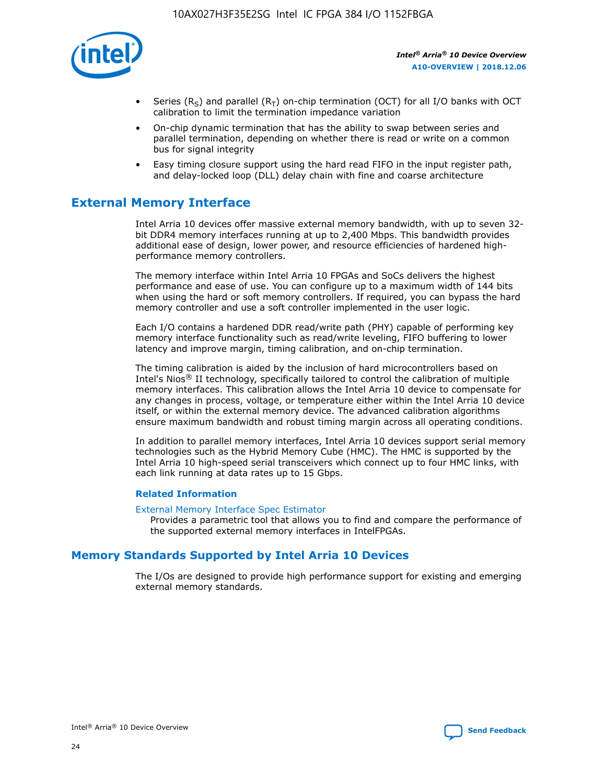

- Series (R<sub>S</sub>) and parallel (R<sub>T</sub>) on-chip termination (OCT) for all I/O banks with OCT calibration to limit the termination impedance variation
- On-chip dynamic termination that has the ability to swap between series and parallel termination, depending on whether there is read or write on a common bus for signal integrity
- Easy timing closure support using the hard read FIFO in the input register path, and delay-locked loop (DLL) delay chain with fine and coarse architecture

## **External Memory Interface**

Intel Arria 10 devices offer massive external memory bandwidth, with up to seven 32 bit DDR4 memory interfaces running at up to 2,400 Mbps. This bandwidth provides additional ease of design, lower power, and resource efficiencies of hardened highperformance memory controllers.

The memory interface within Intel Arria 10 FPGAs and SoCs delivers the highest performance and ease of use. You can configure up to a maximum width of 144 bits when using the hard or soft memory controllers. If required, you can bypass the hard memory controller and use a soft controller implemented in the user logic.

Each I/O contains a hardened DDR read/write path (PHY) capable of performing key memory interface functionality such as read/write leveling, FIFO buffering to lower latency and improve margin, timing calibration, and on-chip termination.

The timing calibration is aided by the inclusion of hard microcontrollers based on Intel's Nios® II technology, specifically tailored to control the calibration of multiple memory interfaces. This calibration allows the Intel Arria 10 device to compensate for any changes in process, voltage, or temperature either within the Intel Arria 10 device itself, or within the external memory device. The advanced calibration algorithms ensure maximum bandwidth and robust timing margin across all operating conditions.

In addition to parallel memory interfaces, Intel Arria 10 devices support serial memory technologies such as the Hybrid Memory Cube (HMC). The HMC is supported by the Intel Arria 10 high-speed serial transceivers which connect up to four HMC links, with each link running at data rates up to 15 Gbps.

#### **Related Information**

#### [External Memory Interface Spec Estimator](http://www.altera.com/technology/memory/estimator/mem-emif-index.html)

Provides a parametric tool that allows you to find and compare the performance of the supported external memory interfaces in IntelFPGAs.

## **Memory Standards Supported by Intel Arria 10 Devices**

The I/Os are designed to provide high performance support for existing and emerging external memory standards.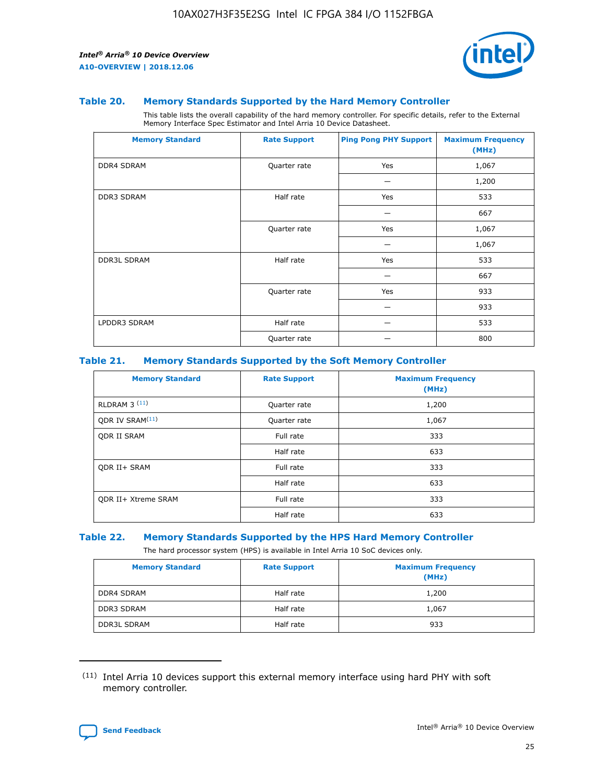

#### **Table 20. Memory Standards Supported by the Hard Memory Controller**

This table lists the overall capability of the hard memory controller. For specific details, refer to the External Memory Interface Spec Estimator and Intel Arria 10 Device Datasheet.

| <b>Memory Standard</b> | <b>Rate Support</b> | <b>Ping Pong PHY Support</b> | <b>Maximum Frequency</b><br>(MHz) |
|------------------------|---------------------|------------------------------|-----------------------------------|
| <b>DDR4 SDRAM</b>      | Quarter rate        | Yes                          | 1,067                             |
|                        |                     |                              | 1,200                             |
| DDR3 SDRAM             | Half rate           | Yes                          | 533                               |
|                        |                     |                              | 667                               |
|                        | Quarter rate        | Yes                          | 1,067                             |
|                        |                     |                              | 1,067                             |
| <b>DDR3L SDRAM</b>     | Half rate           | Yes                          | 533                               |
|                        |                     |                              | 667                               |
|                        | Quarter rate        | Yes                          | 933                               |
|                        |                     |                              | 933                               |
| LPDDR3 SDRAM           | Half rate           |                              | 533                               |
|                        | Quarter rate        |                              | 800                               |

#### **Table 21. Memory Standards Supported by the Soft Memory Controller**

| <b>Memory Standard</b>      | <b>Rate Support</b> | <b>Maximum Frequency</b><br>(MHz) |
|-----------------------------|---------------------|-----------------------------------|
| <b>RLDRAM 3 (11)</b>        | Quarter rate        | 1,200                             |
| ODR IV SRAM <sup>(11)</sup> | Quarter rate        | 1,067                             |
| <b>ODR II SRAM</b>          | Full rate           | 333                               |
|                             | Half rate           | 633                               |
| <b>ODR II+ SRAM</b>         | Full rate           | 333                               |
|                             | Half rate           | 633                               |
| <b>ODR II+ Xtreme SRAM</b>  | Full rate           | 333                               |
|                             | Half rate           | 633                               |

#### **Table 22. Memory Standards Supported by the HPS Hard Memory Controller**

The hard processor system (HPS) is available in Intel Arria 10 SoC devices only.

| <b>Memory Standard</b> | <b>Rate Support</b> | <b>Maximum Frequency</b><br>(MHz) |
|------------------------|---------------------|-----------------------------------|
| <b>DDR4 SDRAM</b>      | Half rate           | 1,200                             |
| <b>DDR3 SDRAM</b>      | Half rate           | 1,067                             |
| <b>DDR3L SDRAM</b>     | Half rate           | 933                               |

<sup>(11)</sup> Intel Arria 10 devices support this external memory interface using hard PHY with soft memory controller.

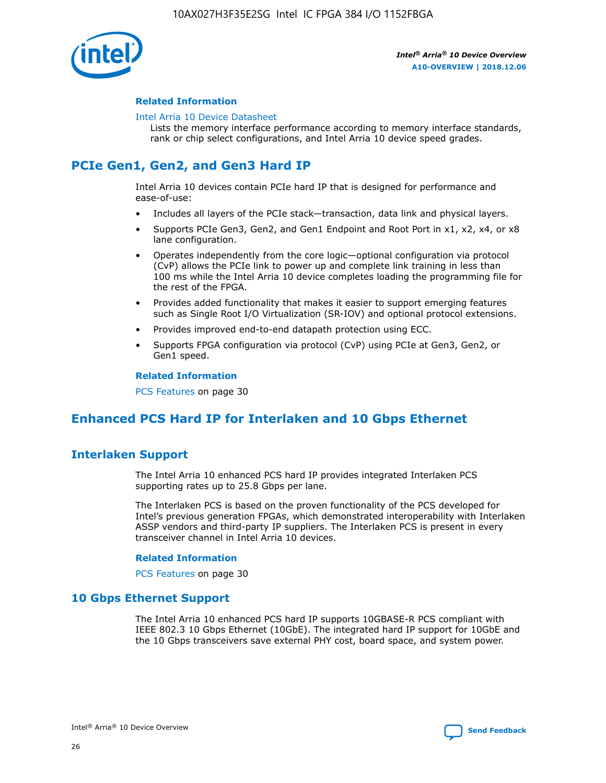

#### **Related Information**

#### [Intel Arria 10 Device Datasheet](https://www.intel.com/content/www/us/en/programmable/documentation/mcn1413182292568.html#mcn1413182153340)

Lists the memory interface performance according to memory interface standards, rank or chip select configurations, and Intel Arria 10 device speed grades.

# **PCIe Gen1, Gen2, and Gen3 Hard IP**

Intel Arria 10 devices contain PCIe hard IP that is designed for performance and ease-of-use:

- Includes all layers of the PCIe stack—transaction, data link and physical layers.
- Supports PCIe Gen3, Gen2, and Gen1 Endpoint and Root Port in x1, x2, x4, or x8 lane configuration.
- Operates independently from the core logic—optional configuration via protocol (CvP) allows the PCIe link to power up and complete link training in less than 100 ms while the Intel Arria 10 device completes loading the programming file for the rest of the FPGA.
- Provides added functionality that makes it easier to support emerging features such as Single Root I/O Virtualization (SR-IOV) and optional protocol extensions.
- Provides improved end-to-end datapath protection using ECC.
- Supports FPGA configuration via protocol (CvP) using PCIe at Gen3, Gen2, or Gen1 speed.

#### **Related Information**

PCS Features on page 30

## **Enhanced PCS Hard IP for Interlaken and 10 Gbps Ethernet**

## **Interlaken Support**

The Intel Arria 10 enhanced PCS hard IP provides integrated Interlaken PCS supporting rates up to 25.8 Gbps per lane.

The Interlaken PCS is based on the proven functionality of the PCS developed for Intel's previous generation FPGAs, which demonstrated interoperability with Interlaken ASSP vendors and third-party IP suppliers. The Interlaken PCS is present in every transceiver channel in Intel Arria 10 devices.

#### **Related Information**

PCS Features on page 30

## **10 Gbps Ethernet Support**

The Intel Arria 10 enhanced PCS hard IP supports 10GBASE-R PCS compliant with IEEE 802.3 10 Gbps Ethernet (10GbE). The integrated hard IP support for 10GbE and the 10 Gbps transceivers save external PHY cost, board space, and system power.

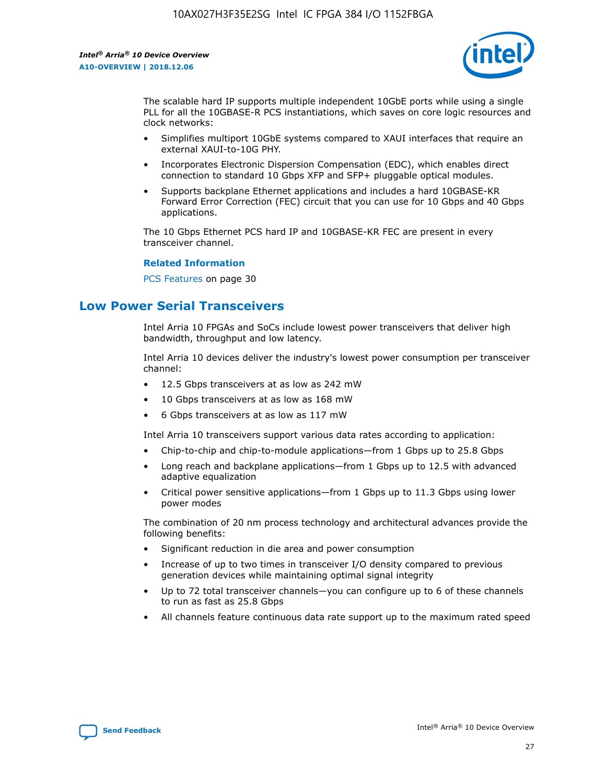

The scalable hard IP supports multiple independent 10GbE ports while using a single PLL for all the 10GBASE-R PCS instantiations, which saves on core logic resources and clock networks:

- Simplifies multiport 10GbE systems compared to XAUI interfaces that require an external XAUI-to-10G PHY.
- Incorporates Electronic Dispersion Compensation (EDC), which enables direct connection to standard 10 Gbps XFP and SFP+ pluggable optical modules.
- Supports backplane Ethernet applications and includes a hard 10GBASE-KR Forward Error Correction (FEC) circuit that you can use for 10 Gbps and 40 Gbps applications.

The 10 Gbps Ethernet PCS hard IP and 10GBASE-KR FEC are present in every transceiver channel.

#### **Related Information**

PCS Features on page 30

## **Low Power Serial Transceivers**

Intel Arria 10 FPGAs and SoCs include lowest power transceivers that deliver high bandwidth, throughput and low latency.

Intel Arria 10 devices deliver the industry's lowest power consumption per transceiver channel:

- 12.5 Gbps transceivers at as low as 242 mW
- 10 Gbps transceivers at as low as 168 mW
- 6 Gbps transceivers at as low as 117 mW

Intel Arria 10 transceivers support various data rates according to application:

- Chip-to-chip and chip-to-module applications—from 1 Gbps up to 25.8 Gbps
- Long reach and backplane applications—from 1 Gbps up to 12.5 with advanced adaptive equalization
- Critical power sensitive applications—from 1 Gbps up to 11.3 Gbps using lower power modes

The combination of 20 nm process technology and architectural advances provide the following benefits:

- Significant reduction in die area and power consumption
- Increase of up to two times in transceiver I/O density compared to previous generation devices while maintaining optimal signal integrity
- Up to 72 total transceiver channels—you can configure up to 6 of these channels to run as fast as 25.8 Gbps
- All channels feature continuous data rate support up to the maximum rated speed

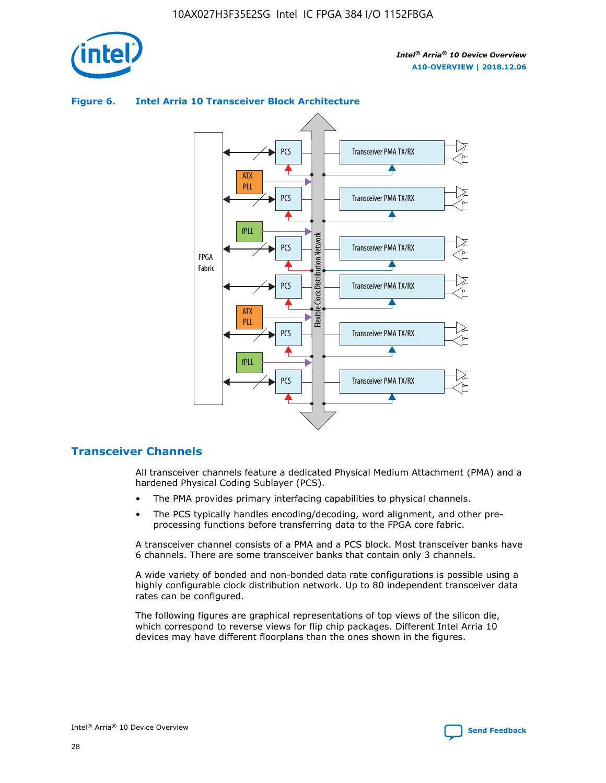

## Transceiver PMA TX/RX PCS ATX PLL Transceiver PMA TX/RX PCS fPLL Network Flexible Clock Distribution Network PCS Transceiver PMA TX/RX FPGA **Clock Distribution** Fabric PCS Transceiver PMA TX/RX ATX Flexible PLL PCS Transceiver PMA TX/RX ▲ fPLL Transceiver PMA TX/RX PCS 4

## **Figure 6. Intel Arria 10 Transceiver Block Architecture**

## **Transceiver Channels**

All transceiver channels feature a dedicated Physical Medium Attachment (PMA) and a hardened Physical Coding Sublayer (PCS).

- The PMA provides primary interfacing capabilities to physical channels.
- The PCS typically handles encoding/decoding, word alignment, and other preprocessing functions before transferring data to the FPGA core fabric.

A transceiver channel consists of a PMA and a PCS block. Most transceiver banks have 6 channels. There are some transceiver banks that contain only 3 channels.

A wide variety of bonded and non-bonded data rate configurations is possible using a highly configurable clock distribution network. Up to 80 independent transceiver data rates can be configured.

The following figures are graphical representations of top views of the silicon die, which correspond to reverse views for flip chip packages. Different Intel Arria 10 devices may have different floorplans than the ones shown in the figures.

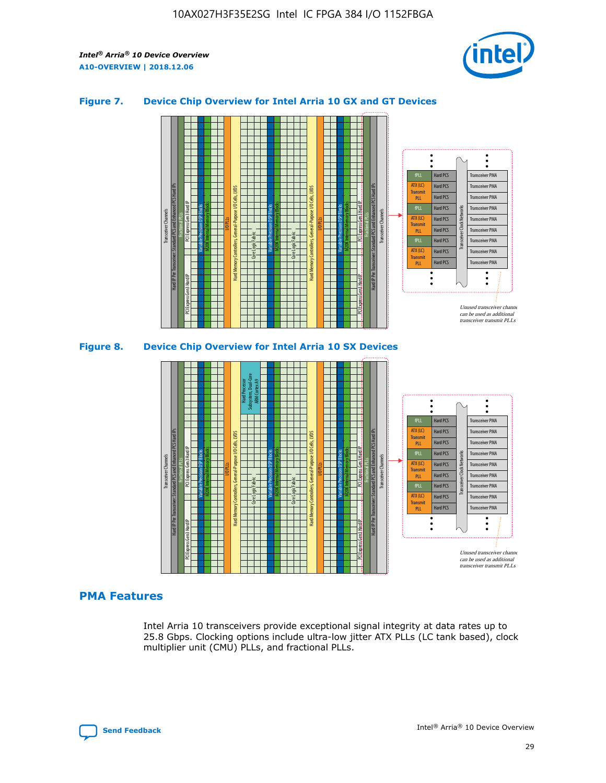

## **Figure 7. Device Chip Overview for Intel Arria 10 GX and GT Devices**





## **PMA Features**

Intel Arria 10 transceivers provide exceptional signal integrity at data rates up to 25.8 Gbps. Clocking options include ultra-low jitter ATX PLLs (LC tank based), clock multiplier unit (CMU) PLLs, and fractional PLLs.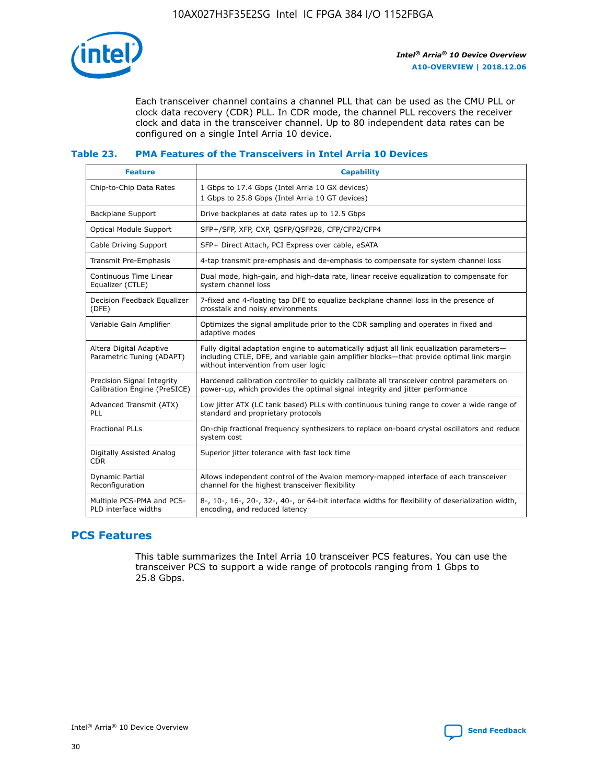

Each transceiver channel contains a channel PLL that can be used as the CMU PLL or clock data recovery (CDR) PLL. In CDR mode, the channel PLL recovers the receiver clock and data in the transceiver channel. Up to 80 independent data rates can be configured on a single Intel Arria 10 device.

## **Table 23. PMA Features of the Transceivers in Intel Arria 10 Devices**

| <b>Feature</b>                                             | <b>Capability</b>                                                                                                                                                                                                             |
|------------------------------------------------------------|-------------------------------------------------------------------------------------------------------------------------------------------------------------------------------------------------------------------------------|
| Chip-to-Chip Data Rates                                    | 1 Gbps to 17.4 Gbps (Intel Arria 10 GX devices)<br>1 Gbps to 25.8 Gbps (Intel Arria 10 GT devices)                                                                                                                            |
| <b>Backplane Support</b>                                   | Drive backplanes at data rates up to 12.5 Gbps                                                                                                                                                                                |
| <b>Optical Module Support</b>                              | SFP+/SFP, XFP, CXP, QSFP/QSFP28, CFP/CFP2/CFP4                                                                                                                                                                                |
| Cable Driving Support                                      | SFP+ Direct Attach, PCI Express over cable, eSATA                                                                                                                                                                             |
| Transmit Pre-Emphasis                                      | 4-tap transmit pre-emphasis and de-emphasis to compensate for system channel loss                                                                                                                                             |
| Continuous Time Linear<br>Equalizer (CTLE)                 | Dual mode, high-gain, and high-data rate, linear receive equalization to compensate for<br>system channel loss                                                                                                                |
| Decision Feedback Equalizer<br>(DFE)                       | 7-fixed and 4-floating tap DFE to equalize backplane channel loss in the presence of<br>crosstalk and noisy environments                                                                                                      |
| Variable Gain Amplifier                                    | Optimizes the signal amplitude prior to the CDR sampling and operates in fixed and<br>adaptive modes                                                                                                                          |
| Altera Digital Adaptive<br>Parametric Tuning (ADAPT)       | Fully digital adaptation engine to automatically adjust all link equalization parameters-<br>including CTLE, DFE, and variable gain amplifier blocks—that provide optimal link margin<br>without intervention from user logic |
| Precision Signal Integrity<br>Calibration Engine (PreSICE) | Hardened calibration controller to quickly calibrate all transceiver control parameters on<br>power-up, which provides the optimal signal integrity and jitter performance                                                    |
| Advanced Transmit (ATX)<br><b>PLL</b>                      | Low jitter ATX (LC tank based) PLLs with continuous tuning range to cover a wide range of<br>standard and proprietary protocols                                                                                               |
| <b>Fractional PLLs</b>                                     | On-chip fractional frequency synthesizers to replace on-board crystal oscillators and reduce<br>system cost                                                                                                                   |
| Digitally Assisted Analog<br><b>CDR</b>                    | Superior jitter tolerance with fast lock time                                                                                                                                                                                 |
| Dynamic Partial<br>Reconfiguration                         | Allows independent control of the Avalon memory-mapped interface of each transceiver<br>channel for the highest transceiver flexibility                                                                                       |
| Multiple PCS-PMA and PCS-<br>PLD interface widths          | 8-, 10-, 16-, 20-, 32-, 40-, or 64-bit interface widths for flexibility of deserialization width,<br>encoding, and reduced latency                                                                                            |

## **PCS Features**

This table summarizes the Intel Arria 10 transceiver PCS features. You can use the transceiver PCS to support a wide range of protocols ranging from 1 Gbps to 25.8 Gbps.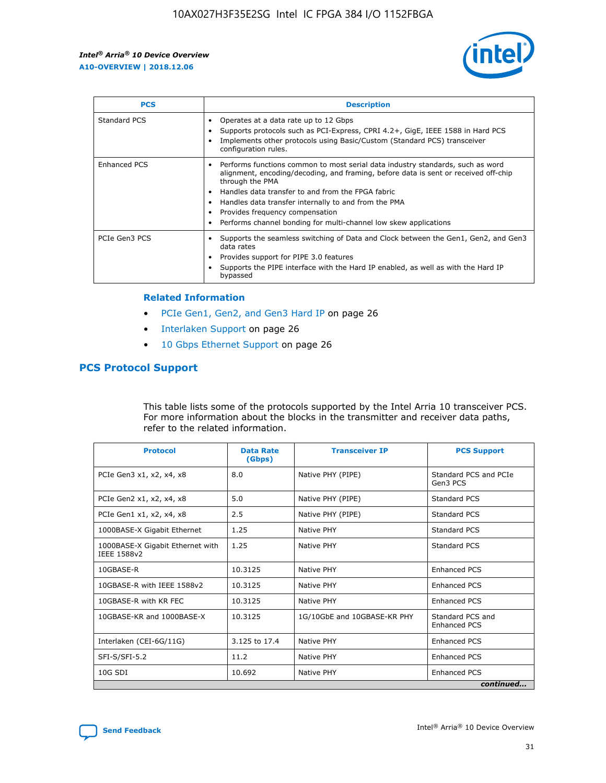

| <b>PCS</b>          | <b>Description</b>                                                                                                                                                                                                                                                                                                                                                                                             |
|---------------------|----------------------------------------------------------------------------------------------------------------------------------------------------------------------------------------------------------------------------------------------------------------------------------------------------------------------------------------------------------------------------------------------------------------|
| Standard PCS        | Operates at a data rate up to 12 Gbps<br>Supports protocols such as PCI-Express, CPRI 4.2+, GigE, IEEE 1588 in Hard PCS<br>Implements other protocols using Basic/Custom (Standard PCS) transceiver<br>configuration rules.                                                                                                                                                                                    |
| <b>Enhanced PCS</b> | Performs functions common to most serial data industry standards, such as word<br>alignment, encoding/decoding, and framing, before data is sent or received off-chip<br>through the PMA<br>• Handles data transfer to and from the FPGA fabric<br>Handles data transfer internally to and from the PMA<br>Provides frequency compensation<br>Performs channel bonding for multi-channel low skew applications |
| PCIe Gen3 PCS       | Supports the seamless switching of Data and Clock between the Gen1, Gen2, and Gen3<br>data rates<br>Provides support for PIPE 3.0 features<br>Supports the PIPE interface with the Hard IP enabled, as well as with the Hard IP<br>bypassed                                                                                                                                                                    |

#### **Related Information**

- PCIe Gen1, Gen2, and Gen3 Hard IP on page 26
- Interlaken Support on page 26
- 10 Gbps Ethernet Support on page 26

## **PCS Protocol Support**

This table lists some of the protocols supported by the Intel Arria 10 transceiver PCS. For more information about the blocks in the transmitter and receiver data paths, refer to the related information.

| <b>Protocol</b>                                 | <b>Data Rate</b><br>(Gbps) | <b>Transceiver IP</b>       | <b>PCS Support</b>                      |
|-------------------------------------------------|----------------------------|-----------------------------|-----------------------------------------|
| PCIe Gen3 x1, x2, x4, x8                        | 8.0                        | Native PHY (PIPE)           | Standard PCS and PCIe<br>Gen3 PCS       |
| PCIe Gen2 x1, x2, x4, x8                        | 5.0                        | Native PHY (PIPE)           | <b>Standard PCS</b>                     |
| PCIe Gen1 x1, x2, x4, x8                        | 2.5                        | Native PHY (PIPE)           | Standard PCS                            |
| 1000BASE-X Gigabit Ethernet                     | 1.25                       | Native PHY                  | <b>Standard PCS</b>                     |
| 1000BASE-X Gigabit Ethernet with<br>IEEE 1588v2 | 1.25                       | Native PHY                  | Standard PCS                            |
| 10GBASE-R                                       | 10.3125                    | Native PHY                  | <b>Enhanced PCS</b>                     |
| 10GBASE-R with IEEE 1588v2                      | 10.3125                    | Native PHY                  | <b>Enhanced PCS</b>                     |
| 10GBASE-R with KR FEC                           | 10.3125                    | Native PHY                  | <b>Enhanced PCS</b>                     |
| 10GBASE-KR and 1000BASE-X                       | 10.3125                    | 1G/10GbE and 10GBASE-KR PHY | Standard PCS and<br><b>Enhanced PCS</b> |
| Interlaken (CEI-6G/11G)                         | 3.125 to 17.4              | Native PHY                  | <b>Enhanced PCS</b>                     |
| SFI-S/SFI-5.2                                   | 11.2                       | Native PHY                  | <b>Enhanced PCS</b>                     |
| $10G$ SDI                                       | 10.692                     | Native PHY                  | <b>Enhanced PCS</b>                     |
|                                                 |                            |                             | continued                               |

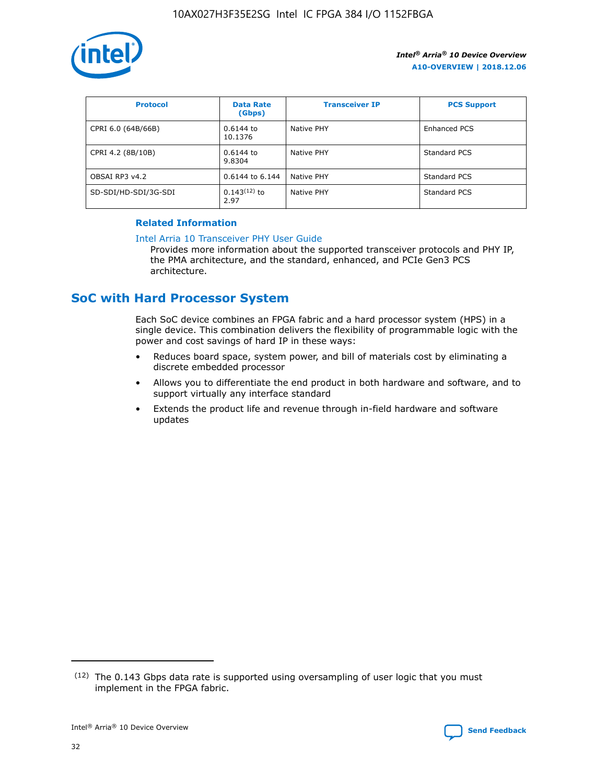

| <b>Protocol</b>      | <b>Data Rate</b><br>(Gbps) | <b>Transceiver IP</b> | <b>PCS Support</b> |
|----------------------|----------------------------|-----------------------|--------------------|
| CPRI 6.0 (64B/66B)   | 0.6144 to<br>10.1376       | Native PHY            | Enhanced PCS       |
| CPRI 4.2 (8B/10B)    | 0.6144 to<br>9.8304        | Native PHY            | Standard PCS       |
| OBSAI RP3 v4.2       | 0.6144 to 6.144            | Native PHY            | Standard PCS       |
| SD-SDI/HD-SDI/3G-SDI | $0.143(12)$ to<br>2.97     | Native PHY            | Standard PCS       |

## **Related Information**

#### [Intel Arria 10 Transceiver PHY User Guide](https://www.intel.com/content/www/us/en/programmable/documentation/nik1398707230472.html#nik1398707091164)

Provides more information about the supported transceiver protocols and PHY IP, the PMA architecture, and the standard, enhanced, and PCIe Gen3 PCS architecture.

## **SoC with Hard Processor System**

Each SoC device combines an FPGA fabric and a hard processor system (HPS) in a single device. This combination delivers the flexibility of programmable logic with the power and cost savings of hard IP in these ways:

- Reduces board space, system power, and bill of materials cost by eliminating a discrete embedded processor
- Allows you to differentiate the end product in both hardware and software, and to support virtually any interface standard
- Extends the product life and revenue through in-field hardware and software updates

 $(12)$  The 0.143 Gbps data rate is supported using oversampling of user logic that you must implement in the FPGA fabric.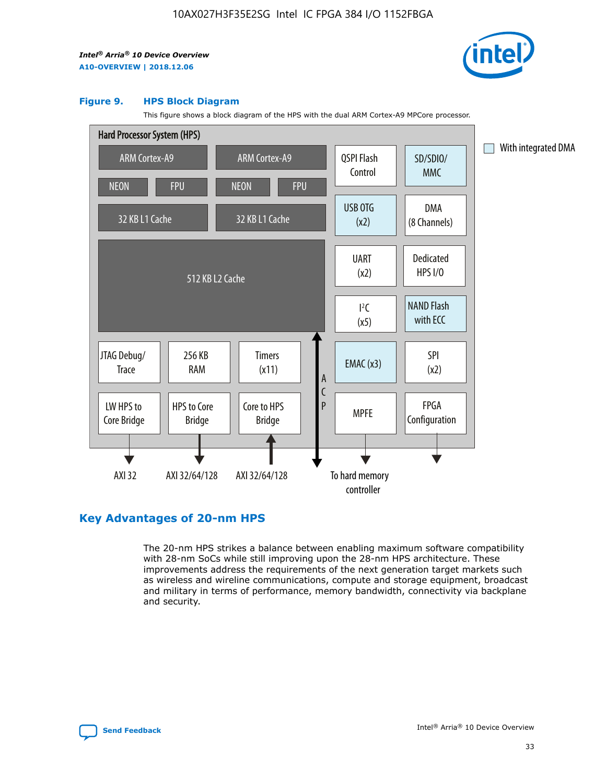

#### **Figure 9. HPS Block Diagram**

This figure shows a block diagram of the HPS with the dual ARM Cortex-A9 MPCore processor.



## **Key Advantages of 20-nm HPS**

The 20-nm HPS strikes a balance between enabling maximum software compatibility with 28-nm SoCs while still improving upon the 28-nm HPS architecture. These improvements address the requirements of the next generation target markets such as wireless and wireline communications, compute and storage equipment, broadcast and military in terms of performance, memory bandwidth, connectivity via backplane and security.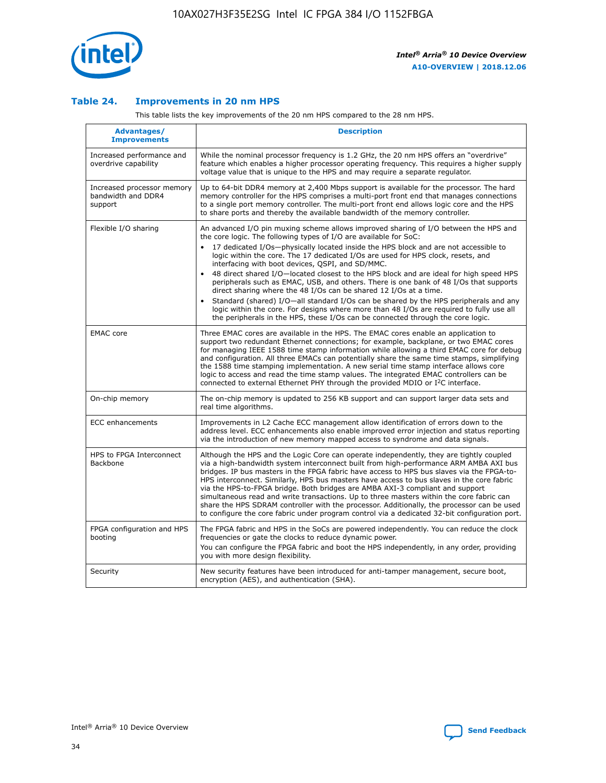

## **Table 24. Improvements in 20 nm HPS**

This table lists the key improvements of the 20 nm HPS compared to the 28 nm HPS.

| Advantages/<br><b>Improvements</b>                          | <b>Description</b>                                                                                                                                                                                                                                                                                                                                                                                                                                                                                                                                                                                                                                                                                                                                                                                                                                                                                                      |
|-------------------------------------------------------------|-------------------------------------------------------------------------------------------------------------------------------------------------------------------------------------------------------------------------------------------------------------------------------------------------------------------------------------------------------------------------------------------------------------------------------------------------------------------------------------------------------------------------------------------------------------------------------------------------------------------------------------------------------------------------------------------------------------------------------------------------------------------------------------------------------------------------------------------------------------------------------------------------------------------------|
| Increased performance and<br>overdrive capability           | While the nominal processor frequency is 1.2 GHz, the 20 nm HPS offers an "overdrive"<br>feature which enables a higher processor operating frequency. This requires a higher supply<br>voltage value that is unique to the HPS and may require a separate regulator.                                                                                                                                                                                                                                                                                                                                                                                                                                                                                                                                                                                                                                                   |
| Increased processor memory<br>bandwidth and DDR4<br>support | Up to 64-bit DDR4 memory at 2,400 Mbps support is available for the processor. The hard<br>memory controller for the HPS comprises a multi-port front end that manages connections<br>to a single port memory controller. The multi-port front end allows logic core and the HPS<br>to share ports and thereby the available bandwidth of the memory controller.                                                                                                                                                                                                                                                                                                                                                                                                                                                                                                                                                        |
| Flexible I/O sharing                                        | An advanced I/O pin muxing scheme allows improved sharing of I/O between the HPS and<br>the core logic. The following types of I/O are available for SoC:<br>17 dedicated I/Os-physically located inside the HPS block and are not accessible to<br>logic within the core. The 17 dedicated I/Os are used for HPS clock, resets, and<br>interfacing with boot devices, QSPI, and SD/MMC.<br>48 direct shared I/O-located closest to the HPS block and are ideal for high speed HPS<br>peripherals such as EMAC, USB, and others. There is one bank of 48 I/Os that supports<br>direct sharing where the 48 I/Os can be shared 12 I/Os at a time.<br>Standard (shared) I/O-all standard I/Os can be shared by the HPS peripherals and any<br>logic within the core. For designs where more than 48 I/Os are reguired to fully use all<br>the peripherals in the HPS, these I/Os can be connected through the core logic. |
| <b>EMAC</b> core                                            | Three EMAC cores are available in the HPS. The EMAC cores enable an application to<br>support two redundant Ethernet connections; for example, backplane, or two EMAC cores<br>for managing IEEE 1588 time stamp information while allowing a third EMAC core for debug<br>and configuration. All three EMACs can potentially share the same time stamps, simplifying<br>the 1588 time stamping implementation. A new serial time stamp interface allows core<br>logic to access and read the time stamp values. The integrated EMAC controllers can be<br>connected to external Ethernet PHY through the provided MDIO or I <sup>2</sup> C interface.                                                                                                                                                                                                                                                                  |
| On-chip memory                                              | The on-chip memory is updated to 256 KB support and can support larger data sets and<br>real time algorithms.                                                                                                                                                                                                                                                                                                                                                                                                                                                                                                                                                                                                                                                                                                                                                                                                           |
| <b>ECC</b> enhancements                                     | Improvements in L2 Cache ECC management allow identification of errors down to the<br>address level. ECC enhancements also enable improved error injection and status reporting<br>via the introduction of new memory mapped access to syndrome and data signals.                                                                                                                                                                                                                                                                                                                                                                                                                                                                                                                                                                                                                                                       |
| HPS to FPGA Interconnect<br>Backbone                        | Although the HPS and the Logic Core can operate independently, they are tightly coupled<br>via a high-bandwidth system interconnect built from high-performance ARM AMBA AXI bus<br>bridges. IP bus masters in the FPGA fabric have access to HPS bus slaves via the FPGA-to-<br>HPS interconnect. Similarly, HPS bus masters have access to bus slaves in the core fabric<br>via the HPS-to-FPGA bridge. Both bridges are AMBA AXI-3 compliant and support<br>simultaneous read and write transactions. Up to three masters within the core fabric can<br>share the HPS SDRAM controller with the processor. Additionally, the processor can be used<br>to configure the core fabric under program control via a dedicated 32-bit configuration port.                                                                                                                                                                  |
| FPGA configuration and HPS<br>booting                       | The FPGA fabric and HPS in the SoCs are powered independently. You can reduce the clock<br>frequencies or gate the clocks to reduce dynamic power.<br>You can configure the FPGA fabric and boot the HPS independently, in any order, providing<br>you with more design flexibility.                                                                                                                                                                                                                                                                                                                                                                                                                                                                                                                                                                                                                                    |
| Security                                                    | New security features have been introduced for anti-tamper management, secure boot,<br>encryption (AES), and authentication (SHA).                                                                                                                                                                                                                                                                                                                                                                                                                                                                                                                                                                                                                                                                                                                                                                                      |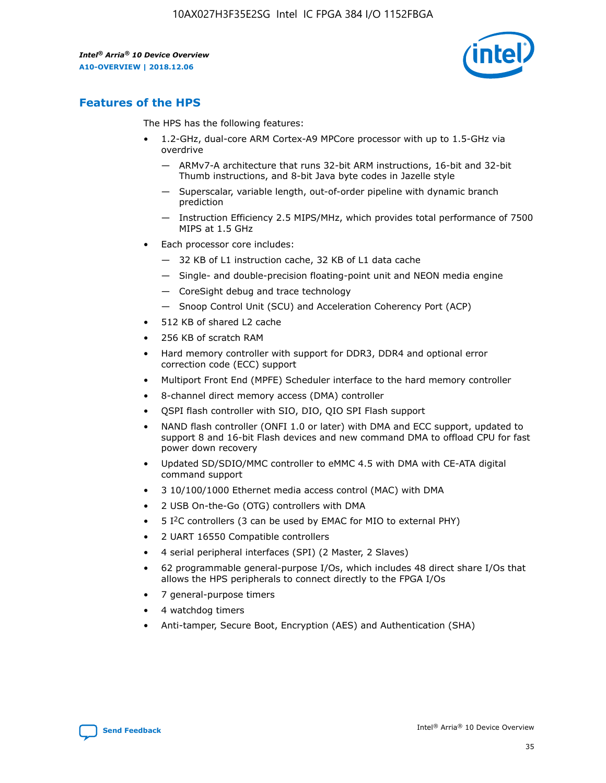

## **Features of the HPS**

The HPS has the following features:

- 1.2-GHz, dual-core ARM Cortex-A9 MPCore processor with up to 1.5-GHz via overdrive
	- ARMv7-A architecture that runs 32-bit ARM instructions, 16-bit and 32-bit Thumb instructions, and 8-bit Java byte codes in Jazelle style
	- Superscalar, variable length, out-of-order pipeline with dynamic branch prediction
	- Instruction Efficiency 2.5 MIPS/MHz, which provides total performance of 7500 MIPS at 1.5 GHz
- Each processor core includes:
	- 32 KB of L1 instruction cache, 32 KB of L1 data cache
	- Single- and double-precision floating-point unit and NEON media engine
	- CoreSight debug and trace technology
	- Snoop Control Unit (SCU) and Acceleration Coherency Port (ACP)
- 512 KB of shared L2 cache
- 256 KB of scratch RAM
- Hard memory controller with support for DDR3, DDR4 and optional error correction code (ECC) support
- Multiport Front End (MPFE) Scheduler interface to the hard memory controller
- 8-channel direct memory access (DMA) controller
- QSPI flash controller with SIO, DIO, QIO SPI Flash support
- NAND flash controller (ONFI 1.0 or later) with DMA and ECC support, updated to support 8 and 16-bit Flash devices and new command DMA to offload CPU for fast power down recovery
- Updated SD/SDIO/MMC controller to eMMC 4.5 with DMA with CE-ATA digital command support
- 3 10/100/1000 Ethernet media access control (MAC) with DMA
- 2 USB On-the-Go (OTG) controllers with DMA
- $\bullet$  5 I<sup>2</sup>C controllers (3 can be used by EMAC for MIO to external PHY)
- 2 UART 16550 Compatible controllers
- 4 serial peripheral interfaces (SPI) (2 Master, 2 Slaves)
- 62 programmable general-purpose I/Os, which includes 48 direct share I/Os that allows the HPS peripherals to connect directly to the FPGA I/Os
- 7 general-purpose timers
- 4 watchdog timers
- Anti-tamper, Secure Boot, Encryption (AES) and Authentication (SHA)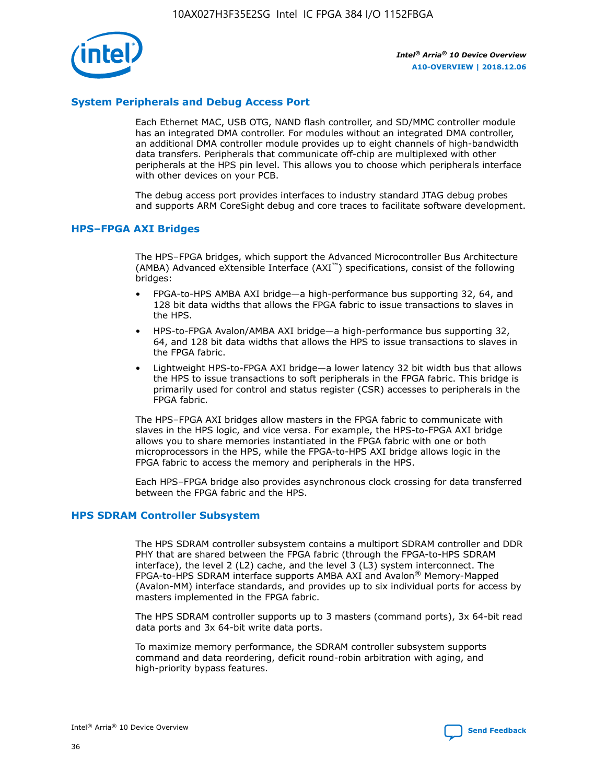

## **System Peripherals and Debug Access Port**

Each Ethernet MAC, USB OTG, NAND flash controller, and SD/MMC controller module has an integrated DMA controller. For modules without an integrated DMA controller, an additional DMA controller module provides up to eight channels of high-bandwidth data transfers. Peripherals that communicate off-chip are multiplexed with other peripherals at the HPS pin level. This allows you to choose which peripherals interface with other devices on your PCB.

The debug access port provides interfaces to industry standard JTAG debug probes and supports ARM CoreSight debug and core traces to facilitate software development.

#### **HPS–FPGA AXI Bridges**

The HPS–FPGA bridges, which support the Advanced Microcontroller Bus Architecture (AMBA) Advanced eXtensible Interface (AXI™) specifications, consist of the following bridges:

- FPGA-to-HPS AMBA AXI bridge—a high-performance bus supporting 32, 64, and 128 bit data widths that allows the FPGA fabric to issue transactions to slaves in the HPS.
- HPS-to-FPGA Avalon/AMBA AXI bridge—a high-performance bus supporting 32, 64, and 128 bit data widths that allows the HPS to issue transactions to slaves in the FPGA fabric.
- Lightweight HPS-to-FPGA AXI bridge—a lower latency 32 bit width bus that allows the HPS to issue transactions to soft peripherals in the FPGA fabric. This bridge is primarily used for control and status register (CSR) accesses to peripherals in the FPGA fabric.

The HPS–FPGA AXI bridges allow masters in the FPGA fabric to communicate with slaves in the HPS logic, and vice versa. For example, the HPS-to-FPGA AXI bridge allows you to share memories instantiated in the FPGA fabric with one or both microprocessors in the HPS, while the FPGA-to-HPS AXI bridge allows logic in the FPGA fabric to access the memory and peripherals in the HPS.

Each HPS–FPGA bridge also provides asynchronous clock crossing for data transferred between the FPGA fabric and the HPS.

#### **HPS SDRAM Controller Subsystem**

The HPS SDRAM controller subsystem contains a multiport SDRAM controller and DDR PHY that are shared between the FPGA fabric (through the FPGA-to-HPS SDRAM interface), the level 2 (L2) cache, and the level 3 (L3) system interconnect. The FPGA-to-HPS SDRAM interface supports AMBA AXI and Avalon® Memory-Mapped (Avalon-MM) interface standards, and provides up to six individual ports for access by masters implemented in the FPGA fabric.

The HPS SDRAM controller supports up to 3 masters (command ports), 3x 64-bit read data ports and 3x 64-bit write data ports.

To maximize memory performance, the SDRAM controller subsystem supports command and data reordering, deficit round-robin arbitration with aging, and high-priority bypass features.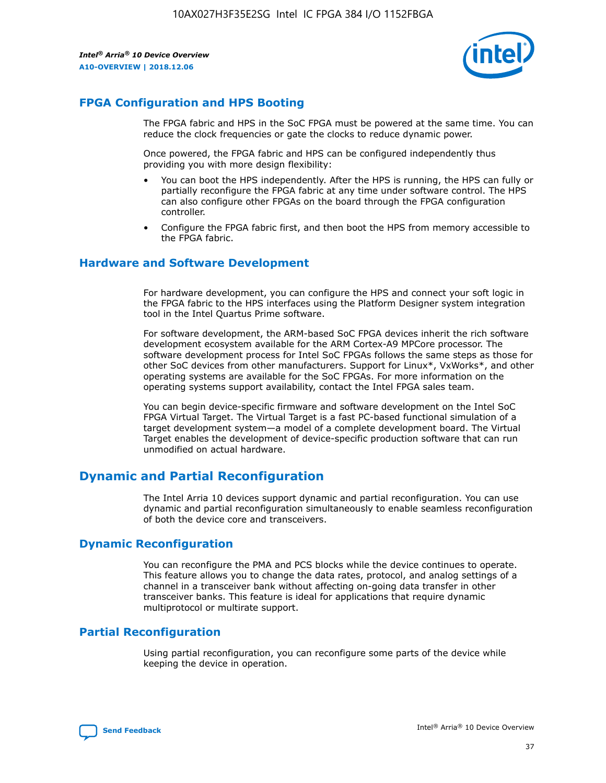

## **FPGA Configuration and HPS Booting**

The FPGA fabric and HPS in the SoC FPGA must be powered at the same time. You can reduce the clock frequencies or gate the clocks to reduce dynamic power.

Once powered, the FPGA fabric and HPS can be configured independently thus providing you with more design flexibility:

- You can boot the HPS independently. After the HPS is running, the HPS can fully or partially reconfigure the FPGA fabric at any time under software control. The HPS can also configure other FPGAs on the board through the FPGA configuration controller.
- Configure the FPGA fabric first, and then boot the HPS from memory accessible to the FPGA fabric.

## **Hardware and Software Development**

For hardware development, you can configure the HPS and connect your soft logic in the FPGA fabric to the HPS interfaces using the Platform Designer system integration tool in the Intel Quartus Prime software.

For software development, the ARM-based SoC FPGA devices inherit the rich software development ecosystem available for the ARM Cortex-A9 MPCore processor. The software development process for Intel SoC FPGAs follows the same steps as those for other SoC devices from other manufacturers. Support for Linux\*, VxWorks\*, and other operating systems are available for the SoC FPGAs. For more information on the operating systems support availability, contact the Intel FPGA sales team.

You can begin device-specific firmware and software development on the Intel SoC FPGA Virtual Target. The Virtual Target is a fast PC-based functional simulation of a target development system—a model of a complete development board. The Virtual Target enables the development of device-specific production software that can run unmodified on actual hardware.

## **Dynamic and Partial Reconfiguration**

The Intel Arria 10 devices support dynamic and partial reconfiguration. You can use dynamic and partial reconfiguration simultaneously to enable seamless reconfiguration of both the device core and transceivers.

## **Dynamic Reconfiguration**

You can reconfigure the PMA and PCS blocks while the device continues to operate. This feature allows you to change the data rates, protocol, and analog settings of a channel in a transceiver bank without affecting on-going data transfer in other transceiver banks. This feature is ideal for applications that require dynamic multiprotocol or multirate support.

## **Partial Reconfiguration**

Using partial reconfiguration, you can reconfigure some parts of the device while keeping the device in operation.

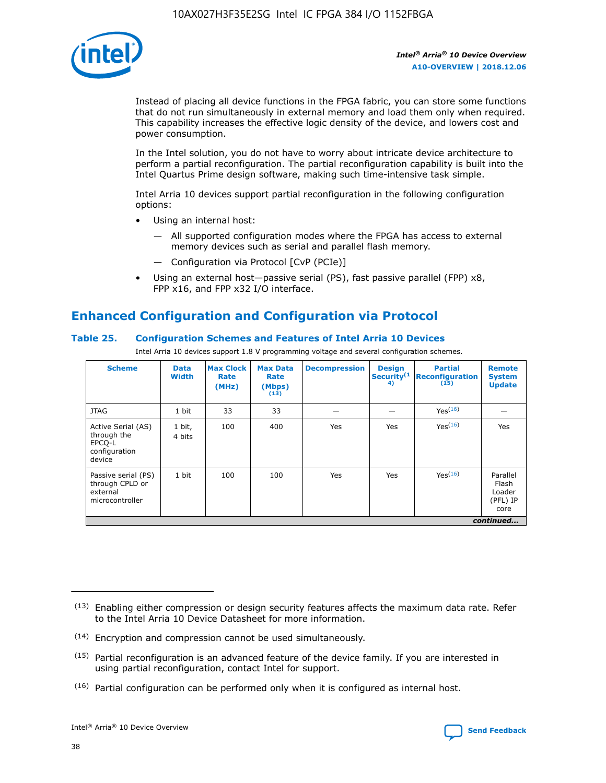

Instead of placing all device functions in the FPGA fabric, you can store some functions that do not run simultaneously in external memory and load them only when required. This capability increases the effective logic density of the device, and lowers cost and power consumption.

In the Intel solution, you do not have to worry about intricate device architecture to perform a partial reconfiguration. The partial reconfiguration capability is built into the Intel Quartus Prime design software, making such time-intensive task simple.

Intel Arria 10 devices support partial reconfiguration in the following configuration options:

- Using an internal host:
	- All supported configuration modes where the FPGA has access to external memory devices such as serial and parallel flash memory.
	- Configuration via Protocol [CvP (PCIe)]
- Using an external host—passive serial (PS), fast passive parallel (FPP) x8, FPP x16, and FPP x32 I/O interface.

# **Enhanced Configuration and Configuration via Protocol**

## **Table 25. Configuration Schemes and Features of Intel Arria 10 Devices**

Intel Arria 10 devices support 1.8 V programming voltage and several configuration schemes.

| <b>Scheme</b>                                                          | <b>Data</b><br><b>Width</b> | <b>Max Clock</b><br>Rate<br>(MHz) | <b>Max Data</b><br>Rate<br>(Mbps)<br>(13) | <b>Decompression</b> | <b>Design</b><br>Security <sup>(1</sup><br>4) | <b>Partial</b><br>Reconfiguration<br>(15) | <b>Remote</b><br><b>System</b><br><b>Update</b> |
|------------------------------------------------------------------------|-----------------------------|-----------------------------------|-------------------------------------------|----------------------|-----------------------------------------------|-------------------------------------------|-------------------------------------------------|
| <b>JTAG</b>                                                            | 1 bit                       | 33                                | 33                                        |                      |                                               | Yes <sup>(16)</sup>                       |                                                 |
| Active Serial (AS)<br>through the<br>EPCO-L<br>configuration<br>device | 1 bit,<br>4 bits            | 100                               | 400                                       | Yes                  | Yes                                           | $Y_{PS}(16)$                              | Yes                                             |
| Passive serial (PS)<br>through CPLD or<br>external<br>microcontroller  | 1 bit                       | 100                               | 100                                       | Yes                  | Yes                                           | Yes(16)                                   | Parallel<br>Flash<br>Loader<br>(PFL) IP<br>core |
|                                                                        |                             |                                   |                                           |                      |                                               |                                           | continued                                       |

<sup>(13)</sup> Enabling either compression or design security features affects the maximum data rate. Refer to the Intel Arria 10 Device Datasheet for more information.

<sup>(14)</sup> Encryption and compression cannot be used simultaneously.

 $<sup>(15)</sup>$  Partial reconfiguration is an advanced feature of the device family. If you are interested in</sup> using partial reconfiguration, contact Intel for support.

 $(16)$  Partial configuration can be performed only when it is configured as internal host.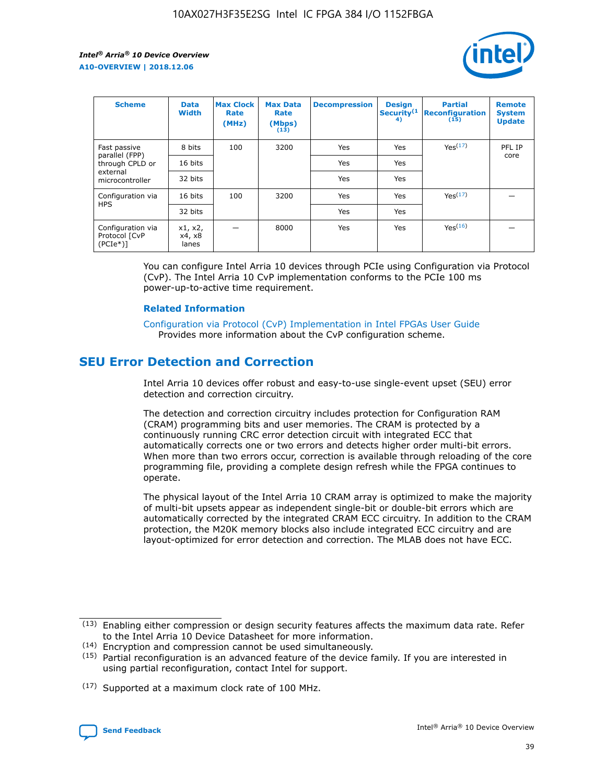

| <b>Scheme</b>                                    | <b>Data</b><br><b>Width</b> | <b>Max Clock</b><br>Rate<br>(MHz) | <b>Max Data</b><br>Rate<br>(Mbps)<br>(13) | <b>Decompression</b> | <b>Design</b><br>Security <sup>(1</sup><br>4) | <b>Partial</b><br><b>Reconfiguration</b><br>(15) | <b>Remote</b><br><b>System</b><br><b>Update</b> |
|--------------------------------------------------|-----------------------------|-----------------------------------|-------------------------------------------|----------------------|-----------------------------------------------|--------------------------------------------------|-------------------------------------------------|
| Fast passive                                     | 8 bits                      | 100                               | 3200                                      | Yes                  | Yes                                           | Yes(17)                                          | PFL IP                                          |
| parallel (FPP)<br>through CPLD or                | 16 bits                     |                                   |                                           | Yes                  | Yes                                           |                                                  | core                                            |
| external<br>microcontroller                      | 32 bits                     |                                   |                                           | Yes                  | Yes                                           |                                                  |                                                 |
| Configuration via                                | 16 bits                     | 100                               | 3200                                      | Yes                  | Yes                                           | Yes <sup>(17)</sup>                              |                                                 |
| <b>HPS</b>                                       | 32 bits                     |                                   |                                           | Yes                  | Yes                                           |                                                  |                                                 |
| Configuration via<br>Protocol [CvP<br>$(PCIe^*)$ | x1, x2,<br>x4, x8<br>lanes  |                                   | 8000                                      | Yes                  | Yes                                           | Yes(16)                                          |                                                 |

You can configure Intel Arria 10 devices through PCIe using Configuration via Protocol (CvP). The Intel Arria 10 CvP implementation conforms to the PCIe 100 ms power-up-to-active time requirement.

#### **Related Information**

[Configuration via Protocol \(CvP\) Implementation in Intel FPGAs User Guide](https://www.intel.com/content/www/us/en/programmable/documentation/dsu1441819344145.html#dsu1442269728522) Provides more information about the CvP configuration scheme.

## **SEU Error Detection and Correction**

Intel Arria 10 devices offer robust and easy-to-use single-event upset (SEU) error detection and correction circuitry.

The detection and correction circuitry includes protection for Configuration RAM (CRAM) programming bits and user memories. The CRAM is protected by a continuously running CRC error detection circuit with integrated ECC that automatically corrects one or two errors and detects higher order multi-bit errors. When more than two errors occur, correction is available through reloading of the core programming file, providing a complete design refresh while the FPGA continues to operate.

The physical layout of the Intel Arria 10 CRAM array is optimized to make the majority of multi-bit upsets appear as independent single-bit or double-bit errors which are automatically corrected by the integrated CRAM ECC circuitry. In addition to the CRAM protection, the M20K memory blocks also include integrated ECC circuitry and are layout-optimized for error detection and correction. The MLAB does not have ECC.

(14) Encryption and compression cannot be used simultaneously.

<sup>(17)</sup> Supported at a maximum clock rate of 100 MHz.



 $(13)$  Enabling either compression or design security features affects the maximum data rate. Refer to the Intel Arria 10 Device Datasheet for more information.

 $(15)$  Partial reconfiguration is an advanced feature of the device family. If you are interested in using partial reconfiguration, contact Intel for support.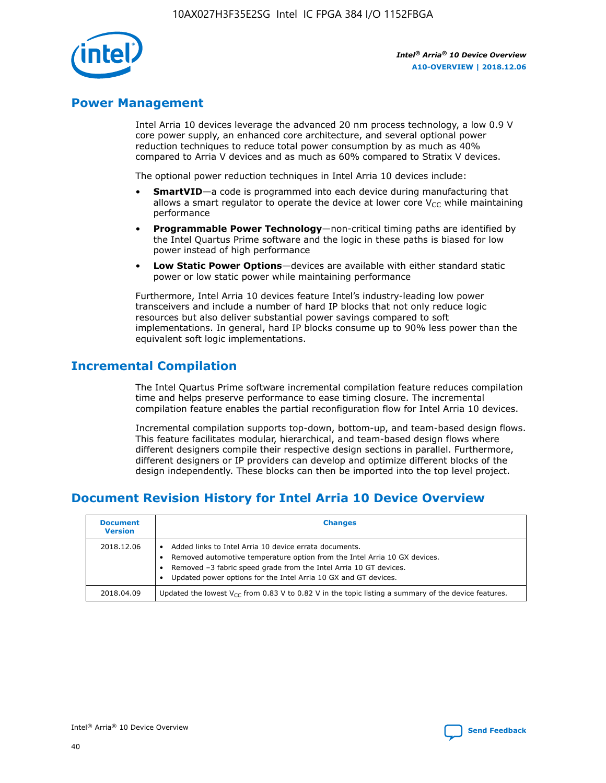

## **Power Management**

Intel Arria 10 devices leverage the advanced 20 nm process technology, a low 0.9 V core power supply, an enhanced core architecture, and several optional power reduction techniques to reduce total power consumption by as much as 40% compared to Arria V devices and as much as 60% compared to Stratix V devices.

The optional power reduction techniques in Intel Arria 10 devices include:

- **SmartVID**—a code is programmed into each device during manufacturing that allows a smart regulator to operate the device at lower core  $V_{CC}$  while maintaining performance
- **Programmable Power Technology**—non-critical timing paths are identified by the Intel Quartus Prime software and the logic in these paths is biased for low power instead of high performance
- **Low Static Power Options**—devices are available with either standard static power or low static power while maintaining performance

Furthermore, Intel Arria 10 devices feature Intel's industry-leading low power transceivers and include a number of hard IP blocks that not only reduce logic resources but also deliver substantial power savings compared to soft implementations. In general, hard IP blocks consume up to 90% less power than the equivalent soft logic implementations.

## **Incremental Compilation**

The Intel Quartus Prime software incremental compilation feature reduces compilation time and helps preserve performance to ease timing closure. The incremental compilation feature enables the partial reconfiguration flow for Intel Arria 10 devices.

Incremental compilation supports top-down, bottom-up, and team-based design flows. This feature facilitates modular, hierarchical, and team-based design flows where different designers compile their respective design sections in parallel. Furthermore, different designers or IP providers can develop and optimize different blocks of the design independently. These blocks can then be imported into the top level project.

# **Document Revision History for Intel Arria 10 Device Overview**

| <b>Document</b><br><b>Version</b> | <b>Changes</b>                                                                                                                                                                                                                                                              |
|-----------------------------------|-----------------------------------------------------------------------------------------------------------------------------------------------------------------------------------------------------------------------------------------------------------------------------|
| 2018.12.06                        | Added links to Intel Arria 10 device errata documents.<br>Removed automotive temperature option from the Intel Arria 10 GX devices.<br>Removed -3 fabric speed grade from the Intel Arria 10 GT devices.<br>Updated power options for the Intel Arria 10 GX and GT devices. |
| 2018.04.09                        | Updated the lowest $V_{CC}$ from 0.83 V to 0.82 V in the topic listing a summary of the device features.                                                                                                                                                                    |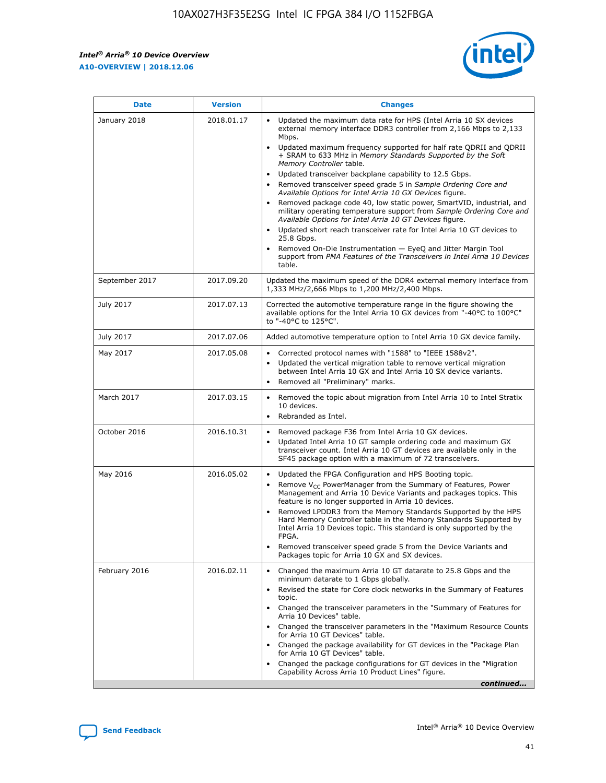

| <b>Date</b>    | <b>Version</b> | <b>Changes</b>                                                                                                                                                                                                                                                                                                                                                                                                                                                                                                                                                                                                                                                                                                                                                                                                                                                                                                                                               |
|----------------|----------------|--------------------------------------------------------------------------------------------------------------------------------------------------------------------------------------------------------------------------------------------------------------------------------------------------------------------------------------------------------------------------------------------------------------------------------------------------------------------------------------------------------------------------------------------------------------------------------------------------------------------------------------------------------------------------------------------------------------------------------------------------------------------------------------------------------------------------------------------------------------------------------------------------------------------------------------------------------------|
| January 2018   | 2018.01.17     | Updated the maximum data rate for HPS (Intel Arria 10 SX devices<br>external memory interface DDR3 controller from 2,166 Mbps to 2,133<br>Mbps.<br>Updated maximum frequency supported for half rate QDRII and QDRII<br>+ SRAM to 633 MHz in Memory Standards Supported by the Soft<br>Memory Controller table.<br>Updated transceiver backplane capability to 12.5 Gbps.<br>Removed transceiver speed grade 5 in Sample Ordering Core and<br>Available Options for Intel Arria 10 GX Devices figure.<br>Removed package code 40, low static power, SmartVID, industrial, and<br>military operating temperature support from Sample Ordering Core and<br>Available Options for Intel Arria 10 GT Devices figure.<br>Updated short reach transceiver rate for Intel Arria 10 GT devices to<br>25.8 Gbps.<br>Removed On-Die Instrumentation - EyeQ and Jitter Margin Tool<br>support from PMA Features of the Transceivers in Intel Arria 10 Devices<br>table. |
| September 2017 | 2017.09.20     | Updated the maximum speed of the DDR4 external memory interface from<br>1,333 MHz/2,666 Mbps to 1,200 MHz/2,400 Mbps.                                                                                                                                                                                                                                                                                                                                                                                                                                                                                                                                                                                                                                                                                                                                                                                                                                        |
| July 2017      | 2017.07.13     | Corrected the automotive temperature range in the figure showing the<br>available options for the Intel Arria 10 GX devices from "-40°C to 100°C"<br>to "-40°C to 125°C".                                                                                                                                                                                                                                                                                                                                                                                                                                                                                                                                                                                                                                                                                                                                                                                    |
| July 2017      | 2017.07.06     | Added automotive temperature option to Intel Arria 10 GX device family.                                                                                                                                                                                                                                                                                                                                                                                                                                                                                                                                                                                                                                                                                                                                                                                                                                                                                      |
| May 2017       | 2017.05.08     | Corrected protocol names with "1588" to "IEEE 1588v2".<br>Updated the vertical migration table to remove vertical migration<br>$\bullet$<br>between Intel Arria 10 GX and Intel Arria 10 SX device variants.<br>Removed all "Preliminary" marks.                                                                                                                                                                                                                                                                                                                                                                                                                                                                                                                                                                                                                                                                                                             |
| March 2017     | 2017.03.15     | Removed the topic about migration from Intel Arria 10 to Intel Stratix<br>10 devices.<br>Rebranded as Intel.<br>$\bullet$                                                                                                                                                                                                                                                                                                                                                                                                                                                                                                                                                                                                                                                                                                                                                                                                                                    |
| October 2016   | 2016.10.31     | Removed package F36 from Intel Arria 10 GX devices.<br>Updated Intel Arria 10 GT sample ordering code and maximum GX<br>$\bullet$<br>transceiver count. Intel Arria 10 GT devices are available only in the<br>SF45 package option with a maximum of 72 transceivers.                                                                                                                                                                                                                                                                                                                                                                                                                                                                                                                                                                                                                                                                                        |
| May 2016       | 2016.05.02     | Updated the FPGA Configuration and HPS Booting topic.<br>$\bullet$<br>Remove V <sub>CC</sub> PowerManager from the Summary of Features, Power<br>Management and Arria 10 Device Variants and packages topics. This<br>feature is no longer supported in Arria 10 devices.<br>Removed LPDDR3 from the Memory Standards Supported by the HPS<br>Hard Memory Controller table in the Memory Standards Supported by<br>Intel Arria 10 Devices topic. This standard is only supported by the<br>FPGA.<br>Removed transceiver speed grade 5 from the Device Variants and<br>Packages topic for Arria 10 GX and SX devices.                                                                                                                                                                                                                                                                                                                                         |
| February 2016  | 2016.02.11     | Changed the maximum Arria 10 GT datarate to 25.8 Gbps and the<br>minimum datarate to 1 Gbps globally.<br>Revised the state for Core clock networks in the Summary of Features<br>topic.<br>Changed the transceiver parameters in the "Summary of Features for<br>Arria 10 Devices" table.<br>Changed the transceiver parameters in the "Maximum Resource Counts"<br>for Arria 10 GT Devices" table.<br>Changed the package availability for GT devices in the "Package Plan<br>for Arria 10 GT Devices" table.<br>Changed the package configurations for GT devices in the "Migration"<br>Capability Across Arria 10 Product Lines" figure.<br>continued                                                                                                                                                                                                                                                                                                     |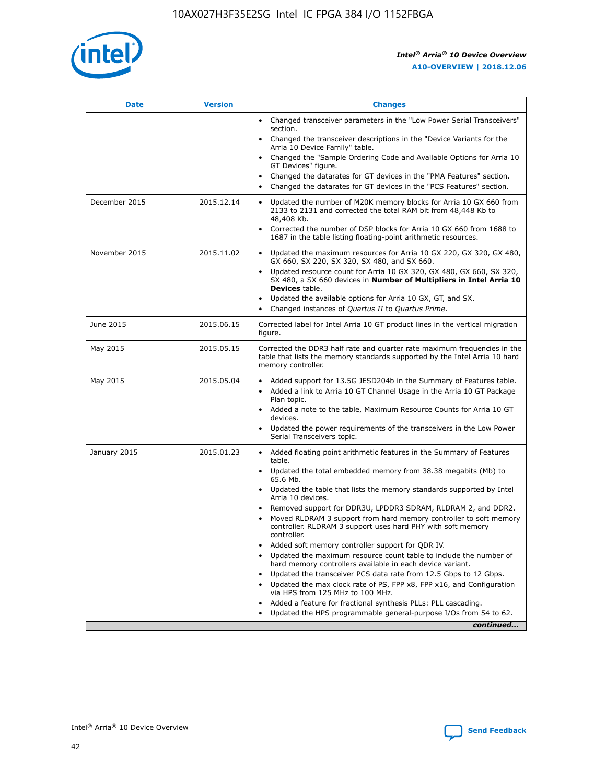

| <b>Date</b>   | <b>Version</b> | <b>Changes</b>                                                                                                                                                               |
|---------------|----------------|------------------------------------------------------------------------------------------------------------------------------------------------------------------------------|
|               |                | • Changed transceiver parameters in the "Low Power Serial Transceivers"<br>section.                                                                                          |
|               |                | • Changed the transceiver descriptions in the "Device Variants for the<br>Arria 10 Device Family" table.                                                                     |
|               |                | Changed the "Sample Ordering Code and Available Options for Arria 10<br>$\bullet$<br>GT Devices" figure.                                                                     |
|               |                | Changed the datarates for GT devices in the "PMA Features" section.                                                                                                          |
|               |                | Changed the datarates for GT devices in the "PCS Features" section.<br>$\bullet$                                                                                             |
| December 2015 | 2015.12.14     | Updated the number of M20K memory blocks for Arria 10 GX 660 from<br>2133 to 2131 and corrected the total RAM bit from 48,448 Kb to<br>48,408 Kb.                            |
|               |                | Corrected the number of DSP blocks for Arria 10 GX 660 from 1688 to<br>1687 in the table listing floating-point arithmetic resources.                                        |
| November 2015 | 2015.11.02     | Updated the maximum resources for Arria 10 GX 220, GX 320, GX 480,<br>$\bullet$<br>GX 660, SX 220, SX 320, SX 480, and SX 660.                                               |
|               |                | • Updated resource count for Arria 10 GX 320, GX 480, GX 660, SX 320,<br>SX 480, a SX 660 devices in Number of Multipliers in Intel Arria 10<br><b>Devices</b> table.        |
|               |                | Updated the available options for Arria 10 GX, GT, and SX.                                                                                                                   |
|               |                | Changed instances of Quartus II to Quartus Prime.<br>$\bullet$                                                                                                               |
| June 2015     | 2015.06.15     | Corrected label for Intel Arria 10 GT product lines in the vertical migration<br>figure.                                                                                     |
| May 2015      | 2015.05.15     | Corrected the DDR3 half rate and quarter rate maximum frequencies in the<br>table that lists the memory standards supported by the Intel Arria 10 hard<br>memory controller. |
| May 2015      | 2015.05.04     | • Added support for 13.5G JESD204b in the Summary of Features table.<br>• Added a link to Arria 10 GT Channel Usage in the Arria 10 GT Package<br>Plan topic.                |
|               |                | • Added a note to the table, Maximum Resource Counts for Arria 10 GT<br>devices.                                                                                             |
|               |                | • Updated the power requirements of the transceivers in the Low Power<br>Serial Transceivers topic.                                                                          |
| January 2015  | 2015.01.23     | • Added floating point arithmetic features in the Summary of Features<br>table.                                                                                              |
|               |                | • Updated the total embedded memory from 38.38 megabits (Mb) to<br>65.6 Mb.                                                                                                  |
|               |                | • Updated the table that lists the memory standards supported by Intel<br>Arria 10 devices.                                                                                  |
|               |                | Removed support for DDR3U, LPDDR3 SDRAM, RLDRAM 2, and DDR2.                                                                                                                 |
|               |                | Moved RLDRAM 3 support from hard memory controller to soft memory<br>controller. RLDRAM 3 support uses hard PHY with soft memory<br>controller.                              |
|               |                | Added soft memory controller support for QDR IV.<br>٠                                                                                                                        |
|               |                | Updated the maximum resource count table to include the number of<br>hard memory controllers available in each device variant.                                               |
|               |                | Updated the transceiver PCS data rate from 12.5 Gbps to 12 Gbps.<br>$\bullet$                                                                                                |
|               |                | Updated the max clock rate of PS, FPP x8, FPP x16, and Configuration<br>via HPS from 125 MHz to 100 MHz.                                                                     |
|               |                | Added a feature for fractional synthesis PLLs: PLL cascading.                                                                                                                |
|               |                | Updated the HPS programmable general-purpose I/Os from 54 to 62.<br>$\bullet$<br>continued                                                                                   |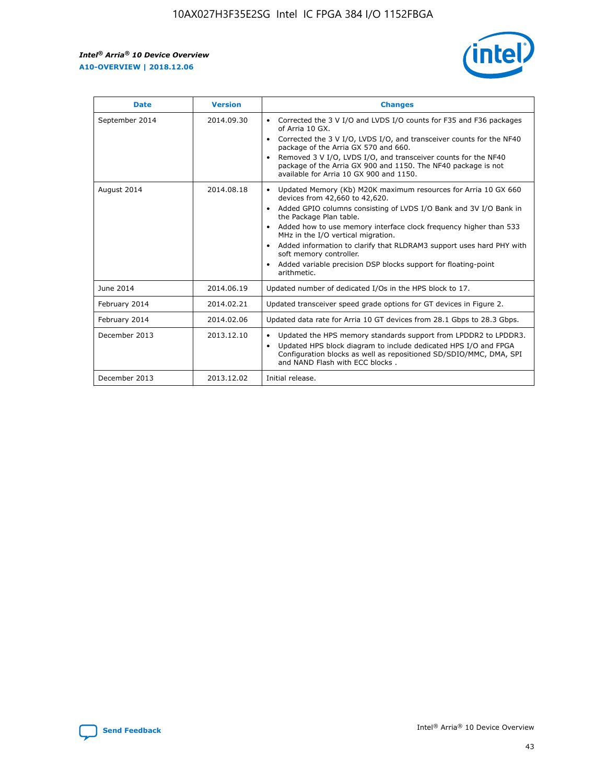r



| <b>Date</b>    | <b>Version</b> | <b>Changes</b>                                                                                                                                                                                                                                                                                                                                                                                                                                                                                                                         |
|----------------|----------------|----------------------------------------------------------------------------------------------------------------------------------------------------------------------------------------------------------------------------------------------------------------------------------------------------------------------------------------------------------------------------------------------------------------------------------------------------------------------------------------------------------------------------------------|
| September 2014 | 2014.09.30     | Corrected the 3 V I/O and LVDS I/O counts for F35 and F36 packages<br>of Arria 10 GX.<br>Corrected the 3 V I/O, LVDS I/O, and transceiver counts for the NF40<br>package of the Arria GX 570 and 660.<br>Removed 3 V I/O, LVDS I/O, and transceiver counts for the NF40<br>package of the Arria GX 900 and 1150. The NF40 package is not<br>available for Arria 10 GX 900 and 1150.                                                                                                                                                    |
| August 2014    | 2014.08.18     | Updated Memory (Kb) M20K maximum resources for Arria 10 GX 660<br>devices from 42,660 to 42,620.<br>Added GPIO columns consisting of LVDS I/O Bank and 3V I/O Bank in<br>$\bullet$<br>the Package Plan table.<br>Added how to use memory interface clock frequency higher than 533<br>$\bullet$<br>MHz in the I/O vertical migration.<br>Added information to clarify that RLDRAM3 support uses hard PHY with<br>$\bullet$<br>soft memory controller.<br>Added variable precision DSP blocks support for floating-point<br>arithmetic. |
| June 2014      | 2014.06.19     | Updated number of dedicated I/Os in the HPS block to 17.                                                                                                                                                                                                                                                                                                                                                                                                                                                                               |
| February 2014  | 2014.02.21     | Updated transceiver speed grade options for GT devices in Figure 2.                                                                                                                                                                                                                                                                                                                                                                                                                                                                    |
| February 2014  | 2014.02.06     | Updated data rate for Arria 10 GT devices from 28.1 Gbps to 28.3 Gbps.                                                                                                                                                                                                                                                                                                                                                                                                                                                                 |
| December 2013  | 2013.12.10     | Updated the HPS memory standards support from LPDDR2 to LPDDR3.<br>Updated HPS block diagram to include dedicated HPS I/O and FPGA<br>$\bullet$<br>Configuration blocks as well as repositioned SD/SDIO/MMC, DMA, SPI<br>and NAND Flash with ECC blocks.                                                                                                                                                                                                                                                                               |
| December 2013  | 2013.12.02     | Initial release.                                                                                                                                                                                                                                                                                                                                                                                                                                                                                                                       |